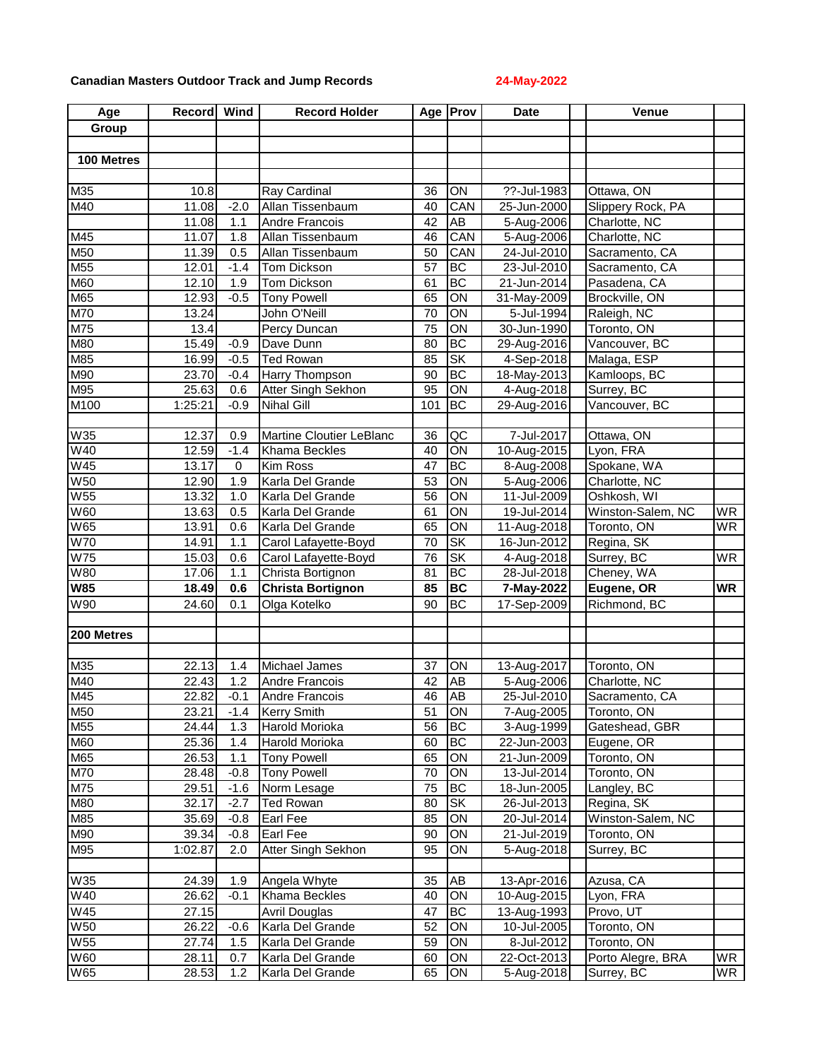## **Canadian Masters Outdoor Track and Jump Records 24-May-2022**

| Age             | Record Wind |             | <b>Record Holder</b>     |     | Age <b>Prov</b>        | <b>Date</b> | Venue             |           |
|-----------------|-------------|-------------|--------------------------|-----|------------------------|-------------|-------------------|-----------|
| Group           |             |             |                          |     |                        |             |                   |           |
|                 |             |             |                          |     |                        |             |                   |           |
| 100 Metres      |             |             |                          |     |                        |             |                   |           |
|                 |             |             |                          |     |                        |             |                   |           |
| M35             | 10.8        |             | Ray Cardinal             | 36  | ON                     | ??-Jul-1983 | Ottawa, ON        |           |
| M40             | 11.08       | $-2.0$      | Allan Tissenbaum         | 40  | CAN                    | 25-Jun-2000 | Slippery Rock, PA |           |
|                 | 11.08       | 1.1         | Andre Francois           | 42  | AB                     | 5-Aug-2006  | Charlotte, NC     |           |
| M45             | 11.07       | 1.8         | Allan Tissenbaum         | 46  | CAN                    | 5-Aug-2006  | Charlotte, NC     |           |
| M50             | 11.39       | 0.5         | Allan Tissenbaum         | 50  | CAN                    | 24-Jul-2010 | Sacramento, CA    |           |
| M <sub>55</sub> | 12.01       | $-1.4$      | Tom Dickson              | 57  | <b>BC</b>              | 23-Jul-2010 | Sacramento, CA    |           |
| M60             | 12.10       | 1.9         | Tom Dickson              | 61  | BC                     | 21-Jun-2014 | Pasadena, CA      |           |
| M65             | 12.93       | $-0.5$      | <b>Tony Powell</b>       | 65  | $\overline{ON}$        | 31-May-2009 | Brockville, ON    |           |
| M70             | 13.24       |             | John O'Neill             | 70  | $\overline{ON}$        | 5-Jul-1994  | Raleigh, NC       |           |
| M75             | 13.4        |             | Percy Duncan             | 75  | $\overline{ON}$        | 30-Jun-1990 | Toronto, ON       |           |
| M80             | 15.49       | $-0.9$      | Dave Dunn                | 80  | BC                     | 29-Aug-2016 | Vancouver, BC     |           |
| M85             | 16.99       | $-0.5$      | <b>Ted Rowan</b>         | 85  | SK                     | 4-Sep-2018  | Malaga, ESP       |           |
| M90             | 23.70       | $-0.4$      | <b>Harry Thompson</b>    | 90  | <b>BC</b>              | 18-May-2013 | Kamloops, BC      |           |
| M95             | 25.63       | 0.6         | Atter Singh Sekhon       | 95  | ON                     | 4-Aug-2018  | Surrey, BC        |           |
| M100            | 1:25:21     | $-0.9$      | <b>Nihal Gill</b>        | 101 | BC                     | 29-Aug-2016 | Vancouver, BC     |           |
|                 |             |             |                          |     |                        |             |                   |           |
| W35             | 12.37       | 0.9         | Martine Cloutier LeBlanc | 36  | QC                     | 7-Jul-2017  | Ottawa, ON        |           |
| W40             | 12.59       | $-1.4$      | Khama Beckles            | 40  | $\overline{ON}$        | 10-Aug-2015 | Lyon, FRA         |           |
| <b>W45</b>      | 13.17       | $\mathbf 0$ | <b>Kim Ross</b>          | 47  | ВC                     | 8-Aug-2008  | Spokane, WA       |           |
| <b>W50</b>      | 12.90       | 1.9         | Karla Del Grande         | 53  | $\overline{ON}$        | 5-Aug-2006  | Charlotte, NC     |           |
| W <sub>55</sub> | 13.32       | 1.0         | Karla Del Grande         | 56  | ON                     | 11-Jul-2009 | Oshkosh, WI       |           |
| <b>W60</b>      | 13.63       | 0.5         | Karla Del Grande         | 61  | ON                     | 19-Jul-2014 | Winston-Salem, NC | <b>WR</b> |
| <b>W65</b>      | 13.91       | 0.6         | Karla Del Grande         | 65  | ON                     | 11-Aug-2018 | Toronto, ON       | <b>WR</b> |
| <b>W70</b>      | 14.91       | 1.1         | Carol Lafayette-Boyd     | 70  | $\overline{\text{SK}}$ | 16-Jun-2012 | Regina, SK        |           |
| W75             | 15.03       | 0.6         | Carol Lafayette-Boyd     | 76  | SK                     | 4-Aug-2018  | Surrey, BC        | <b>WR</b> |
| <b>W80</b>      | 17.06       | 1.1         | Christa Bortignon        | 81  | BC                     | 28-Jul-2018 | Cheney, WA        |           |
| <b>W85</b>      | 18.49       | 0.6         | <b>Christa Bortignon</b> | 85  | <b>BC</b>              | 7-May-2022  | Eugene, OR        | <b>WR</b> |
| W90             | 24.60       | 0.1         | Olga Kotelko             | 90  | BC                     | 17-Sep-2009 | Richmond, BC      |           |
|                 |             |             |                          |     |                        |             |                   |           |
| 200 Metres      |             |             |                          |     |                        |             |                   |           |
|                 |             |             |                          |     |                        |             |                   |           |
| M35             | 22.13       | 1.4         | Michael James            | 37  | ON                     | 13-Aug-2017 | Toronto, ON       |           |
| M40             | 22.43       | 1.2         | <b>Andre Francois</b>    | 42  | AB                     | 5-Aug-2006  | Charlotte, NC     |           |
| M45             | 22.82       | $-0.1$      | Andre Francois           | 46  | <b>AB</b>              | 25-Jul-2010 | Sacramento, CA    |           |
| M50             | 23.21       | $-1.4$      | <b>Kerry Smith</b>       | 51  | ON                     | 7-Aug-2005  | Toronto, ON       |           |
| M55             | 24.44       | 1.3         | Harold Morioka           | 56  | <b>BC</b>              | 3-Aug-1999  | Gateshead, GBR    |           |
| M60             | 25.36       | 1.4         | Harold Morioka           | 60  | <b>BC</b>              | 22-Jun-2003 | Eugene, OR        |           |
| M65             | 26.53       | 1.1         | <b>Tony Powell</b>       | 65  | ON                     | 21-Jun-2009 | Toronto, ON       |           |
| M70             | 28.48       | $-0.8$      | <b>Tony Powell</b>       | 70  | ON                     | 13-Jul-2014 | Toronto, ON       |           |
| M75             | 29.51       | $-1.6$      | Norm Lesage              | 75  | ВC                     | 18-Jun-2005 | Langley, BC       |           |
| M80             | 32.17       | $-2.7$      | <b>Ted Rowan</b>         | 80  | <b>SK</b>              | 26-Jul-2013 | Regina, SK        |           |
| M85             | 35.69       | $-0.8$      | Earl Fee                 | 85  | ON                     | 20-Jul-2014 | Winston-Salem, NC |           |
| M90             | 39.34       | $-0.8$      | Earl Fee                 | 90  | ON                     | 21-Jul-2019 | Toronto, ON       |           |
| M95             | 1:02.87     | 2.0         | Atter Singh Sekhon       | 95  | ON                     | 5-Aug-2018  | Surrey, BC        |           |
|                 |             |             |                          |     |                        |             |                   |           |
| W35             | 24.39       | 1.9         | Angela Whyte             | 35  | AB                     | 13-Apr-2016 | Azusa, CA         |           |
| W40             | 26.62       | $-0.1$      | Khama Beckles            | 40  | ON                     | 10-Aug-2015 | Lyon, FRA         |           |
| W45             | 27.15       |             | <b>Avril Douglas</b>     | 47  | <b>BC</b>              | 13-Aug-1993 | Provo, UT         |           |
| <b>W50</b>      | 26.22       | $-0.6$      | Karla Del Grande         | 52  | ON                     | 10-Jul-2005 | Toronto, ON       |           |
| <b>W55</b>      | 27.74       | 1.5         | Karla Del Grande         | 59  | ON                     | 8-Jul-2012  | Toronto, ON       |           |
| W60             | 28.11       | 0.7         | Karla Del Grande         | 60  | ON                     | 22-Oct-2013 | Porto Alegre, BRA | WR        |
| <b>W65</b>      | 28.53       | 1.2         | Karla Del Grande         | 65  | ON                     | 5-Aug-2018  | Surrey, BC        | WR        |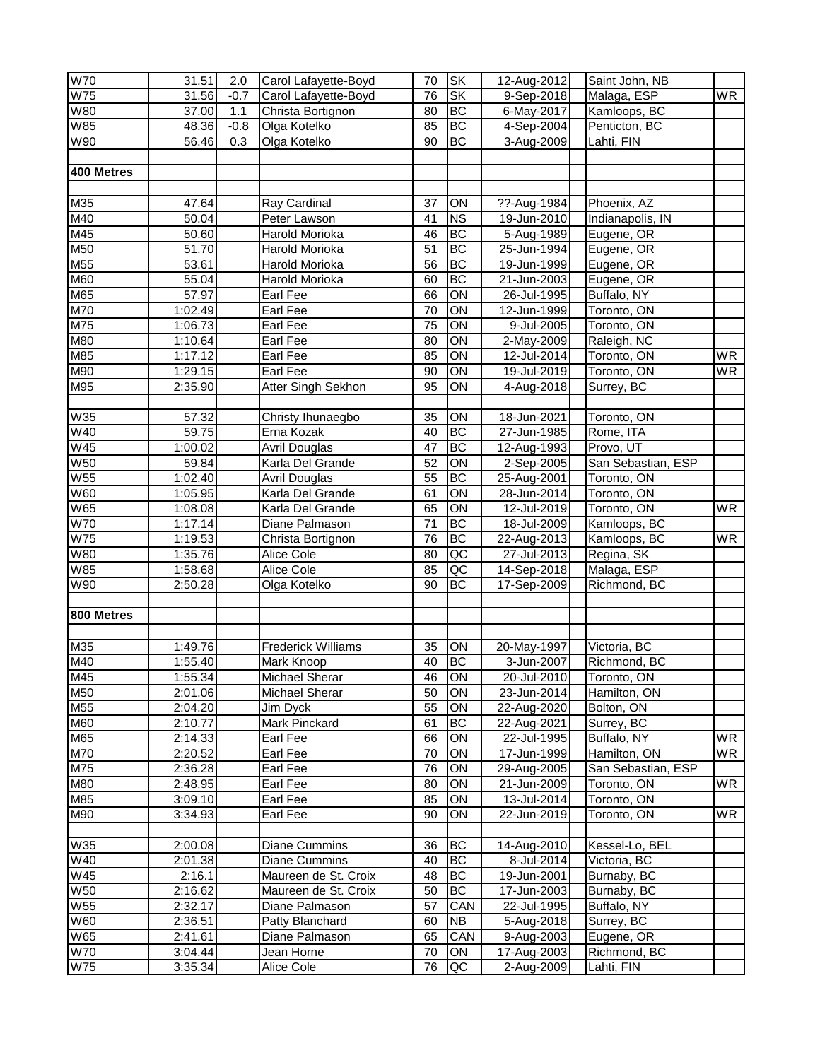| <b>W70</b>      | 31.51             | 2.0    | Carol Lafayette-Boyd      | 70              | <b>SK</b>       | 12-Aug-2012 | Saint John, NB     |                          |
|-----------------|-------------------|--------|---------------------------|-----------------|-----------------|-------------|--------------------|--------------------------|
| W <sub>75</sub> | 31.56             | $-0.7$ | Carol Lafayette-Boyd      | 76              | <b>SK</b>       | 9-Sep-2018  | Malaga, ESP        | <b>WR</b>                |
| W80             | 37.00             | 1.1    | Christa Bortignon         | 80              | <b>BC</b>       | 6-May-2017  | Kamloops, BC       |                          |
| <b>W85</b>      | 48.36             | $-0.8$ | Olga Kotelko              | 85              | ВC              | 4-Sep-2004  | Penticton, BC      |                          |
| W90             | 56.46             | 0.3    | Olga Kotelko              | 90              | <b>BC</b>       | 3-Aug-2009  | Lahti, FIN         |                          |
|                 |                   |        |                           |                 |                 |             |                    |                          |
| 400 Metres      |                   |        |                           |                 |                 |             |                    |                          |
|                 |                   |        |                           |                 |                 |             |                    |                          |
| M35             | 47.64             |        | Ray Cardinal              | 37              | ON              | ??-Aug-1984 | Phoenix, AZ        |                          |
| M40             | 50.04             |        | Peter Lawson              | 41              | <b>NS</b>       | 19-Jun-2010 | Indianapolis, IN   |                          |
|                 |                   |        |                           | 46              | <b>BC</b>       |             |                    |                          |
| M45             | 50.60             |        | Harold Morioka            | $\overline{51}$ | BC              | 5-Aug-1989  | Eugene, OR         |                          |
| M50             | 51.70             |        | Harold Morioka            |                 |                 | 25-Jun-1994 | Eugene, OR         |                          |
| M55             | 53.61             |        | Harold Morioka            | 56              | <b>BC</b>       | 19-Jun-1999 | Eugene, OR         |                          |
| M60             | 55.04             |        | Harold Morioka            | 60              | BC              | 21-Jun-2003 | Eugene, OR         |                          |
| M65             | 57.97             |        | Earl Fee                  | 66              | $\overline{ON}$ | 26-Jul-1995 | Buffalo, NY        |                          |
| M70             | 1:02.49           |        | Earl Fee                  | 70              | ON              | 12-Jun-1999 | Toronto, ON        |                          |
| M75             | 1:06.73           |        | Earl Fee                  | 75              | $\overline{ON}$ | 9-Jul-2005  | Toronto, ON        |                          |
| M80             | 1:10.64           |        | Earl Fee                  | 80              | ON              | 2-May-2009  | Raleigh, NC        |                          |
| M85             | 1:17.12           |        | Earl Fee                  | 85              | ON              | 12-Jul-2014 | Toronto, ON        | <b>WR</b>                |
| M90             | 1:29.15           |        | Earl Fee                  | 90              | ON              | 19-Jul-2019 | Toronto, ON        | $\overline{\mathsf{WR}}$ |
| M95             | 2:35.90           |        | Atter Singh Sekhon        | 95              | ON              | 4-Aug-2018  | Surrey, BC         |                          |
|                 |                   |        |                           |                 |                 |             |                    |                          |
| W35             | 57.32             |        | Christy Ihunaegbo         | 35              | ON              | 18-Jun-2021 | Toronto, ON        |                          |
| W40             | $\frac{1}{59.75}$ |        | Erna Kozak                | 40              | <b>BC</b>       | 27-Jun-1985 | Rome, ITA          |                          |
| W45             | 1:00.02           |        | <b>Avril Douglas</b>      | 47              | ВC              | 12-Aug-1993 | Provo, UT          |                          |
| W50             | 59.84             |        | Karla Del Grande          | 52              | ON              | 2-Sep-2005  | San Sebastian, ESP |                          |
| W <sub>55</sub> | 1:02.40           |        | <b>Avril Douglas</b>      | 55              | BC              | 25-Aug-2001 | Toronto, ON        |                          |
| W60             | 1:05.95           |        | Karla Del Grande          | 61              | ON              | 28-Jun-2014 | Toronto, ON        |                          |
| W65             | 1:08.08           |        | Karla Del Grande          | 65              | ON              | 12-Jul-2019 | Toronto, ON        | <b>WR</b>                |
| <b>W70</b>      | 1:17.14           |        | Diane Palmason            | $\overline{71}$ | BC              | 18-Jul-2009 | Kamloops, BC       |                          |
| <b>W75</b>      | 1:19.53           |        | Christa Bortignon         | 76              | BC              | 22-Aug-2013 | Kamloops, BC       | <b>WR</b>                |
| W80             | 1:35.76           |        | Alice Cole                | 80              | $\overline{AC}$ | 27-Jul-2013 | Regina, SK         |                          |
| W85             |                   |        | Alice Cole                |                 | QC              |             | Malaga, ESP        |                          |
| W90             | 1:58.68           |        |                           | 85              | BC              | 14-Sep-2018 |                    |                          |
|                 | 2:50.28           |        | Olga Kotelko              | 90              |                 | 17-Sep-2009 | Richmond, BC       |                          |
|                 |                   |        |                           |                 |                 |             |                    |                          |
| 800 Metres      |                   |        |                           |                 |                 |             |                    |                          |
|                 |                   |        |                           |                 |                 |             |                    |                          |
| M35             | 1:49.76           |        | <b>Frederick Williams</b> | 35              | ON              | 20-May-1997 | Victoria, BC       |                          |
| M40             | 1:55.40           |        | Mark Knoop                | 40              | BC              | 3-Jun-2007  | Richmond, BC       |                          |
| M45             | 1:55.341          |        | Michael Sherar            | 46              | ION             | 20-Jul-2010 | Toronto, ON        |                          |
| M50             | 2:01.06           |        | Michael Sherar            | 50              | ON              | 23-Jun-2014 | Hamilton, ON       |                          |
| M55             | 2:04.20           |        | Jim Dyck                  | 55              | ON              | 22-Aug-2020 | Bolton, ON         |                          |
| <b>M60</b>      | 2:10.77           |        | Mark Pinckard             | 61              | <b>BC</b>       | 22-Aug-2021 | Surrey, BC         |                          |
| M65             | 2:14.33           |        | Earl Fee                  | 66              | ON              | 22-Jul-1995 | Buffalo, NY        | WR                       |
| <b>M70</b>      | 2:20.52           |        | Earl Fee                  | 70              | ON              | 17-Jun-1999 | Hamilton, ON       | WR.                      |
| M75             | 2:36.28           |        | Earl Fee                  | 76              | ON              | 29-Aug-2005 | San Sebastian, ESP |                          |
| M80             | 2:48.95           |        | Earl Fee                  | 80              | ON              | 21-Jun-2009 | Toronto, ON        | WR.                      |
| M85             | 3:09.10           |        | Earl Fee                  | 85              | ON              | 13-Jul-2014 | Toronto, ON        |                          |
| M90             | 3:34.93           |        | Earl Fee                  | 90              | ON              | 22-Jun-2019 | Toronto, ON        | WR.                      |
|                 |                   |        |                           |                 |                 |             |                    |                          |
| W35             | 2:00.08           |        | Diane Cummins             | 36              | <b>BC</b>       | 14-Aug-2010 | Kessel-Lo, BEL     |                          |
| W40             | 2:01.38           |        | Diane Cummins             | 40              | BC              | 8-Jul-2014  | Victoria, BC       |                          |
| W45             | 2:16.1            |        | Maureen de St. Croix      | 48              | <b>BC</b>       | 19-Jun-2001 | Burnaby, BC        |                          |
| W50             | 2:16.62           |        | Maureen de St. Croix      | 50              | <b>BC</b>       | 17-Jun-2003 | Burnaby, BC        |                          |
| W55             | 2:32.17           |        | Diane Palmason            | 57              | CAN             | 22-Jul-1995 | Buffalo, NY        |                          |
| W60             | 2:36.51           |        | Patty Blanchard           | 60              | <b>NB</b>       | 5-Aug-2018  | Surrey, BC         |                          |
| W65             | 2:41.61           |        | Diane Palmason            | 65              | CAN             | 9-Aug-2003  | Eugene, OR         |                          |
|                 |                   |        |                           |                 | ON              |             |                    |                          |
| W70             | 3:04.44           |        | Jean Horne                | 70              |                 | 17-Aug-2003 | Richmond, BC       |                          |
| <b>W75</b>      | 3:35.34           |        | Alice Cole                | 76              | QC              | 2-Aug-2009  | Lahti, FIN         |                          |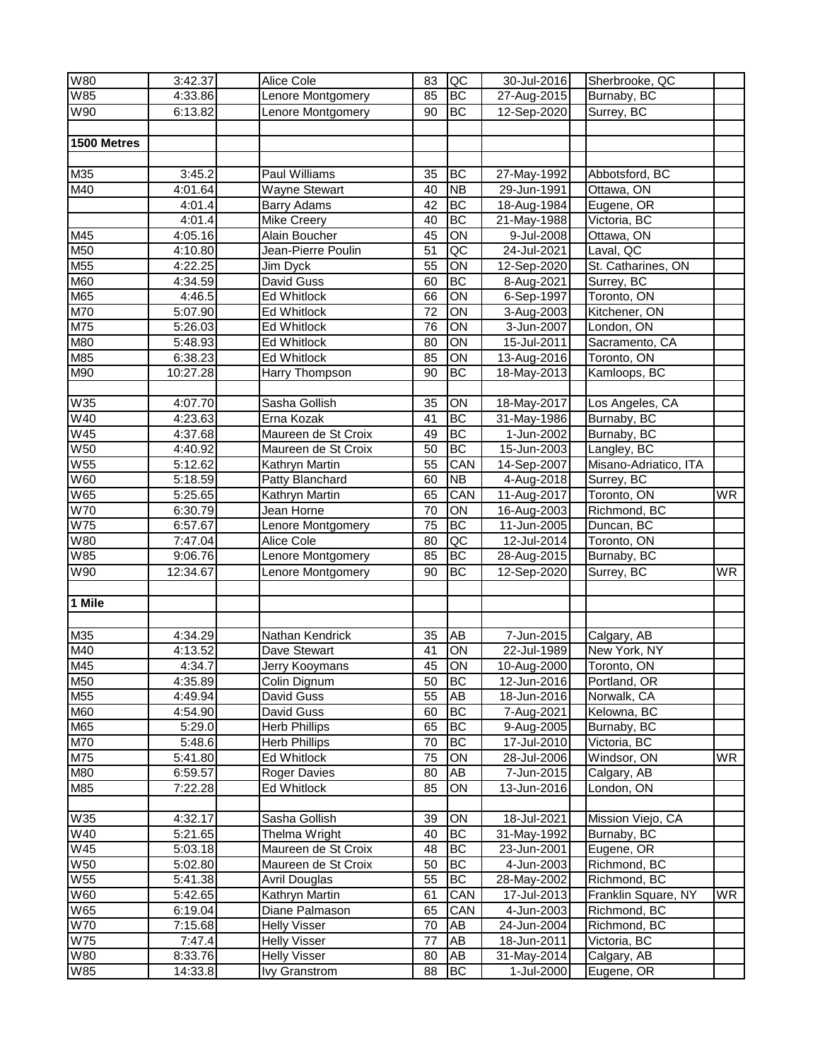| <b>W80</b>               | 3:42.37  | Alice Cole           | 83              | QC              | 30-Jul-2016 | Sherbrooke, QC        |           |
|--------------------------|----------|----------------------|-----------------|-----------------|-------------|-----------------------|-----------|
| <b>W85</b>               | 4:33.86  | Lenore Montgomery    | 85              | <b>BC</b>       | 27-Aug-2015 | Burnaby, BC           |           |
| W90                      | 6:13.82  | Lenore Montgomery    | $\overline{90}$ | <b>BC</b>       | 12-Sep-2020 | Surrey, BC            |           |
|                          |          |                      |                 |                 |             |                       |           |
| 1500 Metres              |          |                      |                 |                 |             |                       |           |
|                          |          |                      |                 |                 |             |                       |           |
| M35                      | 3:45.2   | Paul Williams        | 35              | BC              | 27-May-1992 | Abbotsford, BC        |           |
| M40                      | 4:01.64  | <b>Wayne Stewart</b> | 40              | <b>NB</b>       | 29-Jun-1991 | Ottawa, ON            |           |
|                          | 4:01.4   | <b>Barry Adams</b>   | 42              | BC              | 18-Aug-1984 | Eugene, OR            |           |
|                          | 4:01.4   | Mike Creery          | 40              | <b>BC</b>       | 21-May-1988 | Victoria, BC          |           |
| M45                      | 4:05.16  | Alain Boucher        | 45              | ON              | 9-Jul-2008  | Ottawa, ON            |           |
| M50                      | 4:10.80  | Jean-Pierre Poulin   | 51              | QC              | 24-Jul-2021 | Laval, QC             |           |
| M55                      | 4:22.25  | Jim Dyck             | 55              | ON              | 12-Sep-2020 | St. Catharines, ON    |           |
| M60                      | 4:34.59  | David Guss           | 60              | BC              | 8-Aug-2021  | Surrey, BC            |           |
| M65                      | 4:46.5   | Ed Whitlock          | 66              | $\overline{ON}$ | 6-Sep-1997  | Toronto, ON           |           |
| M70                      | 5:07.90  | Ed Whitlock          | 72              | $\overline{ON}$ | 3-Aug-2003  | Kitchener, ON         |           |
| M75                      | 5:26.03  | <b>Ed Whitlock</b>   | $\overline{76}$ | $\overline{ON}$ | 3-Jun-2007  | London, ON            |           |
| M80                      | 5:48.93  | <b>Ed Whitlock</b>   | 80              | $\overline{ON}$ | 15-Jul-2011 | Sacramento, CA        |           |
| M85                      | 6:38.23  | <b>Ed Whitlock</b>   | 85              | $\overline{ON}$ | 13-Aug-2016 | Toronto, ON           |           |
| M90                      | 10:27.28 | Harry Thompson       | 90              | BC              | 18-May-2013 | Kamloops, BC          |           |
|                          |          |                      |                 |                 |             |                       |           |
| <b>W35</b>               | 4:07.70  | Sasha Gollish        | 35              | ON              | 18-May-2017 | Los Angeles, CA       |           |
| W40                      | 4:23.63  | Erna Kozak           | 41              | $\overline{BC}$ | 31-May-1986 | Burnaby, BC           |           |
| <b>W45</b>               | 4:37.68  | Maureen de St Croix  | 49              | BC              | 1-Jun-2002  | Burnaby, BC           |           |
| <b>W50</b>               | 4:40.92  | Maureen de St Croix  | 50              | BC              | 15-Jun-2003 | Langley, BC           |           |
| <b>W55</b>               | 5:12.62  | Kathryn Martin       | 55              | CAN             | 14-Sep-2007 | Misano-Adriatico, ITA |           |
| <b>W60</b>               | 5:18.59  | Patty Blanchard      | 60              | $\overline{NB}$ | 4-Aug-2018  | Surrey, BC            |           |
| <b>W65</b>               | 5:25.65  | Kathryn Martin       | 65              | CAN             | 11-Aug-2017 | Toronto, ON           | <b>WR</b> |
| <b>W70</b>               | 6:30.79  | Jean Horne           | 70              | $\overline{ON}$ | 16-Aug-2003 | Richmond, BC          |           |
| W75                      | 6:57.67  | Lenore Montgomery    | $\overline{75}$ | BC              | 11-Jun-2005 | Duncan, BC            |           |
| W80                      | 7:47.04  | Alice Cole           | 80              | QC              | 12-Jul-2014 | Toronto, ON           |           |
| <b>W85</b>               | 9:06.76  | Lenore Montgomery    | 85              | BC              | 28-Aug-2015 | Burnaby, BC           |           |
| W90                      | 12:34.67 | Lenore Montgomery    | 90              | <b>BC</b>       | 12-Sep-2020 | Surrey, BC            | <b>WR</b> |
| 1 Mile                   |          |                      |                 |                 |             |                       |           |
|                          |          |                      |                 |                 |             |                       |           |
| M35                      | 4:34.29  | Nathan Kendrick      | 35              | <b>AB</b>       | 7-Jun-2015  | Calgary, AB           |           |
| M40                      | 4:13.52  | Dave Stewart         | 41              | ON              | 22-Jul-1989 | New York, NY          |           |
| M45                      | 4:34.7   | Jerry Kooymans       | 45              | ON              | 10-Aug-2000 | Toronto, ON           |           |
| M50                      | 4:35.89  | Colin Dignum         | 50              | <b>BC</b>       | 12-Jun-2016 | Portland, OR          |           |
| M <sub>55</sub>          | 4:49.94  | David Guss           | 55              | AB              | 18-Jun-2016 | Norwalk, CA           |           |
| <b>M60</b>               | 4:54.90  | David Guss           | 60              | BC              | 7-Aug-2021  | Kelowna, BC           |           |
| M65                      | 5:29.0   | <b>Herb Phillips</b> | 65              | BC              | 9-Aug-2005  | Burnaby, BC           |           |
| M70                      | 5:48.6   | <b>Herb Phillips</b> | 70              | <b>BC</b>       | 17-Jul-2010 | Victoria, BC          |           |
| M75                      | 5:41.80  | Ed Whitlock          | 75              | ON              | 28-Jul-2006 | Windsor, ON           | <b>WR</b> |
| M80                      | 6:59.57  | <b>Roger Davies</b>  | 80              | AB              | 7-Jun-2015  | Calgary, AB           |           |
| M85                      | 7:22.28  | Ed Whitlock          | 85              | ON              | 13-Jun-2016 | London, ON            |           |
|                          |          |                      |                 |                 |             |                       |           |
| W35                      | 4:32.17  | Sasha Gollish        | 39              | ON              | 18-Jul-2021 | Mission Viejo, CA     |           |
| W40                      | 5:21.65  | Thelma Wright        | 40              | ВC              | 31-May-1992 | Burnaby, BC           |           |
| <b>W45</b>               | 5:03.18  | Maureen de St Croix  | 48              | ВC              | 23-Jun-2001 | Eugene, OR            |           |
| $\overline{\text{W5}}$ 0 | 5:02.80  | Maureen de St Croix  | 50              | BC              | 4-Jun-2003  | Richmond, BC          |           |
| W55                      | 5:41.38  | <b>Avril Douglas</b> | 55              | BC              | 28-May-2002 | Richmond, BC          |           |
| W60                      | 5:42.65  | Kathryn Martin       | 61              | CAN             | 17-Jul-2013 | Franklin Square, NY   | <b>WR</b> |
| W65                      | 6:19.04  | Diane Palmason       | 65              | CAN             | 4-Jun-2003  | Richmond, BC          |           |
| <b>W70</b>               | 7:15.68  | <b>Helly Visser</b>  | 70              | AB              | 24-Jun-2004 | Richmond, BC          |           |
| <b>W75</b>               | 7:47.4   | <b>Helly Visser</b>  | 77              | AB              | 18-Jun-2011 | Victoria, BC          |           |
| W80                      | 8:33.76  | <b>Helly Visser</b>  | 80              | AB              | 31-May-2014 | Calgary, AB           |           |
| W85                      | 14:33.8  | <b>Ivy Granstrom</b> | 88              | BC              | 1-Jul-2000  | Eugene, OR            |           |
|                          |          |                      |                 |                 |             |                       |           |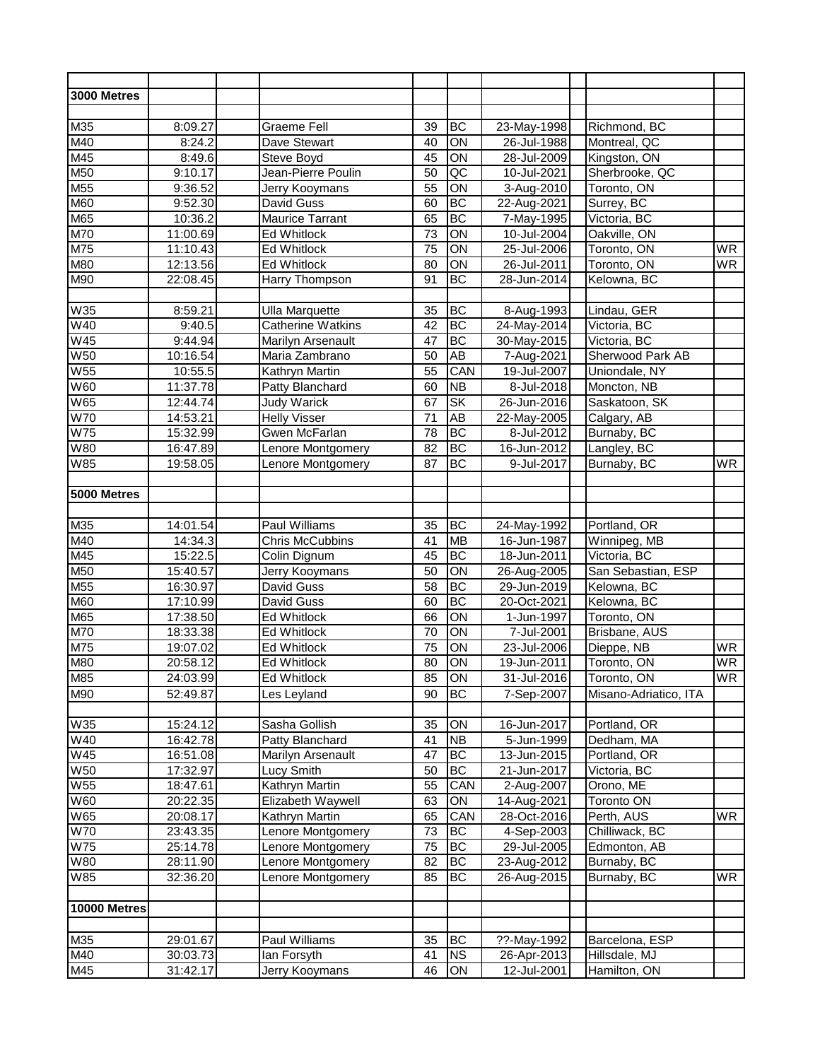| 3000 Metres            |          |                          |                 |                          |                   |                       |                          |
|------------------------|----------|--------------------------|-----------------|--------------------------|-------------------|-----------------------|--------------------------|
|                        |          |                          |                 |                          |                   |                       |                          |
| M35                    | 8:09.27  | Graeme Fell              | 39              | BC                       | 23-May-1998       | Richmond, BC          |                          |
| M40                    | 8:24.2   | Dave Stewart             | 40              | ON                       | 26-Jul-1988       | Montreal, QC          |                          |
| M45                    | 8:49.6   | Steve Boyd               | 45              | $\overline{ON}$          | 28-Jul-2009       | Kingston, ON          |                          |
| M50                    | 9:10.17  | Jean-Pierre Poulin       | 50              | $\overline{AC}$          | 10-Jul-2021       | Sherbrooke, QC        |                          |
| M55                    | 9:36.52  | Jerry Kooymans           | 55              | ON                       | 3-Aug-2010        | Toronto, ON           |                          |
| M60                    | 9:52.30  | David Guss               | 60              | BC                       | 22-Aug-2021       | Surrey, BC            |                          |
| M65                    | 10:36.2  | <b>Maurice Tarrant</b>   | 65              | <b>BC</b>                | 7-May-1995        | Victoria, BC          |                          |
| M70                    | 11:00.69 | <b>Ed Whitlock</b>       | 73              | $\overline{ON}$          | 10-Jul-2004       | Oakville, ON          |                          |
| M75                    | 11:10.43 | <b>Ed Whitlock</b>       | $\overline{75}$ | $\overline{ON}$          | 25-Jul-2006       | Toronto, ON           | <b>WR</b>                |
| M80                    | 12:13.56 | Ed Whitlock              | 80              | ON                       | 26-Jul-2011       | Toronto, ON           | <b>WR</b>                |
| M90                    | 22:08.45 | Harry Thompson           | 91              | BC                       | 28-Jun-2014       | Kelowna, BC           |                          |
| W35                    | 8:59.21  | <b>Ulla Marquette</b>    | 35              | BC                       | 8-Aug-1993        | Lindau, GER           |                          |
| W40                    | 9:40.5   | <b>Catherine Watkins</b> | $\overline{42}$ | BC                       | 24-May-2014       | Victoria, BC          |                          |
| <b>W45</b>             | 9:44.94  | Marilyn Arsenault        | 47              | BC                       | 30-May-2015       | Victoria, BC          |                          |
| W <sub>50</sub>        | 10:16.54 | Maria Zambrano           | 50              | AB                       | 7-Aug-2021        | Sherwood Park AB      |                          |
| W <sub>55</sub>        | 10:55.5  | Kathryn Martin           | $\overline{55}$ | CAN                      | 19-Jul-2007       | Uniondale, NY         |                          |
| W60                    | 11:37.78 | Patty Blanchard          | 60              | $\overline{NB}$          | 8-Jul-2018        | Moncton, NB           |                          |
| W65                    | 12:44.74 | Judy Warick              | 67              | $\overline{\mathsf{SK}}$ | 26-Jun-2016       | Saskatoon, SK         |                          |
| W70                    | 14:53.21 | <b>Helly Visser</b>      | 71              | $\overline{AB}$          | 22-May-2005       | Calgary, AB           |                          |
| W75                    | 15:32.99 | <b>Gwen McFarlan</b>     | 78              | BC                       | 8-Jul-2012        | Burnaby, BC           |                          |
| W80                    | 16:47.89 | Lenore Montgomery        | 82              | BC                       | 16-Jun-2012       | Langley, BC           |                          |
| W85                    | 19:58.05 | Lenore Montgomery        | 87              | <b>BC</b>                | 9-Jul-2017        | Burnaby, BC           | <b>WR</b>                |
|                        |          |                          |                 |                          |                   |                       |                          |
| 5000 Metres            |          |                          |                 |                          |                   |                       |                          |
|                        |          |                          |                 |                          |                   |                       |                          |
| M35                    | 14:01.54 | Paul Williams            | 35              | ВC                       | 24-May-1992       | Portland, OR          |                          |
| M40                    | 14:34.3  | <b>Chris McCubbins</b>   | 41              | <b>MB</b>                | 16-Jun-1987       | Winnipeg, MB          |                          |
| M45                    | 15:22.5  | Colin Dignum             | 45              | <b>BC</b>                | $18 - Jun - 2011$ | Victoria, BC          |                          |
| M50                    | 15:40.57 | Jerry Kooymans           | 50              | $\overline{ON}$          | 26-Aug-2005       | San Sebastian, ESP    |                          |
| M <sub>55</sub>        | 16:30.97 | David Guss               | $\overline{58}$ | <b>BC</b>                | 29-Jun-2019       | Kelowna, BC           |                          |
| M60                    | 17:10.99 | David Guss               | 60              | <b>BC</b>                | 20-Oct-2021       | Kelowna, BC           |                          |
| M65                    | 17:38.50 | <b>Ed Whitlock</b>       | 66              | $\overline{ON}$          | 1-Jun-1997        | Toronto, ON           |                          |
| M70                    | 18:33.38 | Ed Whitlock              | $\overline{70}$ | $\overline{ON}$          | 7-Jul-2001        | Brisbane, AUS         |                          |
| M75                    | 19:07.02 | <b>Ed Whitlock</b>       | 75              | $\overline{ON}$          | 23-Jul-2006       | Dieppe, NB            | <b>WR</b>                |
| M80                    | 20:58.12 | <b>Ed Whitlock</b>       | 80              | <b>ION</b>               | 19-Jun-2011       | Toronto, ON           | $\overline{\mathsf{WR}}$ |
| M85                    | 24:03.99 | Ed Whitlock              | 85              | ON                       | 31-Jul-2016       | Toronto, ON           | <b>WR</b>                |
| M90                    | 52:49.87 | Les Leyland              | 90              | <b>BC</b>                | 7-Sep-2007        | Misano-Adriatico, ITA |                          |
| W35                    | 15:24.12 | Sasha Gollish            | 35              | ON                       | 16-Jun-2017       | Portland, OR          |                          |
| W40                    | 16:42.78 | Patty Blanchard          | 41              | $\overline{AB}$          | 5-Jun-1999        | Dedham, MA            |                          |
| W45                    | 16:51.08 | Marilyn Arsenault        | 47              | <b>BC</b>                | 13-Jun-2015       | Portland, OR          |                          |
| <b>W50</b>             | 17:32.97 | Lucy Smith               | 50              | <b>BC</b>                | 21-Jun-2017       | Victoria, BC          |                          |
| <b>W55</b>             | 18:47.61 | Kathryn Martin           | 55              | CAN                      | 2-Aug-2007        | Orono, ME             |                          |
| $\overline{\text{W6}}$ | 20:22.35 | Elizabeth Waywell        | 63              | $\overline{ON}$          | 14-Aug-2021       | <b>Toronto ON</b>     |                          |
| W65                    | 20:08.17 | Kathryn Martin           | 65              | CAN                      | 28-Oct-2016       | Perth, AUS            | <b>WR</b>                |
| <b>W70</b>             | 23:43.35 | Lenore Montgomery        | 73              | BC                       | 4-Sep-2003        | Chilliwack, BC        |                          |
| <b>W75</b>             | 25:14.78 | Lenore Montgomery        | 75              | BC                       | 29-Jul-2005       | Edmonton, AB          |                          |
| W80                    | 28:11.90 | Lenore Montgomery        | 82              | <b>BC</b>                | 23-Aug-2012       | Burnaby, BC           |                          |
| W85                    | 32:36.20 | Lenore Montgomery        | 85              | <b>BC</b>                | 26-Aug-2015       | Burnaby, BC           | WR                       |
| 10000 Metres           |          |                          |                 |                          |                   |                       |                          |
|                        |          |                          |                 |                          |                   |                       |                          |
| M35                    | 29:01.67 | Paul Williams            | 35              | ВC                       | ??-May-1992       | Barcelona, ESP        |                          |
| M40                    | 30:03.73 | lan Forsyth              | 41              | <b>NS</b>                | 26-Apr-2013       | Hillsdale, MJ         |                          |
| M45                    | 31:42.17 | Jerry Kooymans           | 46              | ON                       | 12-Jul-2001       | Hamilton, ON          |                          |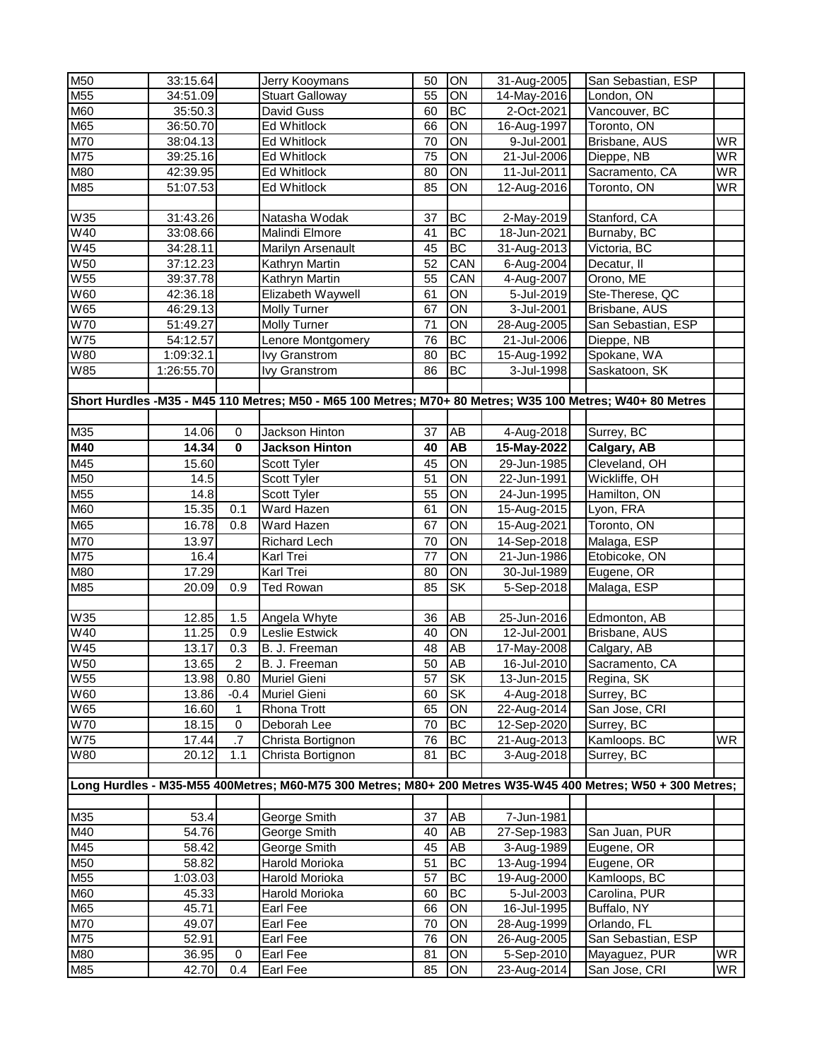| M55<br>55<br>ON<br>14-May-2016<br>34:51.09<br><b>Stuart Galloway</b><br>London, ON<br>M60<br><b>BC</b><br>35:50.3<br>David Guss<br>60<br>Vancouver, BC<br>2-Oct-2021<br>M65<br>$\overline{ON}$<br>36:50.70<br><b>Ed Whitlock</b><br>66<br>16-Aug-1997<br>Toronto, ON<br>M70<br>ON<br>Ed Whitlock<br>70<br>9-Jul-2001<br>Brisbane, AUS<br><b>WR</b><br>38:04.13<br>M75<br>$\overline{ON}$<br>39:25.16<br>Ed Whitlock<br>75<br>21-Jul-2006<br>Dieppe, NB<br>M80<br>Sacramento, CA<br>Ed Whitlock<br>80<br>ON<br>11-Jul-2011<br>42:39.95<br>M85<br>85<br>51:07.53<br>Ed Whitlock<br>ON<br>12-Aug-2016<br>Toronto, ON<br><b>BC</b><br>31:43.26<br>Natasha Wodak<br>37<br>2-May-2019<br>Stanford, CA<br><b>BC</b><br>18-Jun-2021<br>33:08.66<br>41<br>Burnaby, BC<br>Malindi Elmore<br>BC<br>45<br>31-Aug-2013<br>34:28.11<br>Marilyn Arsenault<br>Victoria, BC<br>52<br>CAN<br>37:12.23<br>Kathryn Martin<br>6-Aug-2004<br>Decatur, II<br><b>W55</b><br>CAN<br>Kathryn Martin<br>55<br>4-Aug-2007<br>Orono, ME<br>39:37.78<br>ON<br>Elizabeth Waywell<br>61<br>5-Jul-2019<br>Ste-Therese, QC<br>42:36.18<br><b>W65</b><br>ON<br>Brisbane, AUS<br>46:29.13<br>Molly Turner<br>67<br>3-Jul-2001<br><b>W70</b><br>San Sebastian, ESP<br>51:49.27<br>Molly Turner<br>71<br>ON<br>28-Aug-2005<br><b>W75</b><br><b>BC</b><br>76<br>Dieppe, NB<br>54:12.57<br>Lenore Montgomery<br>21-Jul-2006<br><b>BC</b><br>Spokane, WA<br>W80<br>1:09:32.1<br>lvy Granstrom<br>80<br>15-Aug-1992<br>W85<br>86<br><b>BC</b><br>1:26:55.70<br><b>Ivy Granstrom</b><br>3-Jul-1998<br>Saskatoon, SK<br>Short Hurdles - M35 - M45 110 Metres; M50 - M65 100 Metres; M70+ 80 Metres; W35 100 Metres; W40+ 80 Metres<br>M35<br><b>Jackson Hinton</b><br>37<br>AB<br>Surrey, BC<br>14.06<br>0<br>4-Aug-2018<br>M40<br>$\mathbf 0$<br>40<br><b>AB</b><br>15-May-2022<br>14.34<br><b>Jackson Hinton</b><br>Calgary, AB<br>M45<br>45<br>ON<br>Scott Tyler<br>29-Jun-1985<br>Cleveland, OH<br>15.60<br>M50<br>$\overline{ON}$<br>Scott Tyler<br>51<br>22-Jun-1991<br>Wickliffe, OH<br>14.5<br>M <sub>55</sub><br>$\overline{ON}$<br>14.8<br>Scott Tyler<br>55<br>24-Jun-1995<br>Hamilton, ON<br>M60<br>15.35<br>0.1<br>Ward Hazen<br>61<br>ON<br>15-Aug-2015<br>Lyon, FRA<br>M65<br>16.78<br>ON<br>15-Aug-2021<br>Toronto, ON<br>0.8<br>Ward Hazen<br>67<br>M70<br>13.97<br><b>Richard Lech</b><br>ON<br>14-Sep-2018<br>Malaga, ESP<br>70<br>M75<br>16.4<br>77<br>ON<br>21-Jun-1986<br>Etobicoke, ON<br>Karl Trei<br>M80<br>Karl Trei<br>ON<br>17.29<br>80<br>30-Jul-1989<br>Eugene, OR<br>M85<br>SK<br>Malaga, ESP<br>20.09<br>0.9<br><b>Ted Rowan</b><br>85<br>5-Sep-2018<br>W35<br>AB<br>25-Jun-2016<br>Edmonton, AB<br>12.85<br>1.5<br>Angela Whyte<br>36<br>W <sub>40</sub><br>11.25<br>0.9<br>Leslie Estwick<br>40<br>ON<br>12-Jul-2001<br>Brisbane, AUS<br>$\overline{W45}$<br>AB<br>0.3<br>B. J. Freeman<br>48<br>13.17<br>17-May-2008<br>Calgary, AB<br><b>W50</b><br><b>AB</b><br>$\overline{2}$<br>B. J. Freeman<br>50<br>Sacramento, CA<br>13.65<br>16-Jul-2010<br><b>W55</b><br><b>SK</b><br>57<br>13-Jun-2015<br>13.98<br>Muriel Gieni<br>Regina, SK<br>0.80<br>W60<br>Muriel Gieni<br><b>SK</b><br>4-Aug-2018<br>Surrey, BC<br>13.86<br>$-0.4$<br>60<br>W65<br>Rhona Trott<br>65<br>22-Aug-2014<br>San Jose, CRI<br>16.60<br>ON<br>1<br>70<br>BC<br><b>W70</b><br>18.15<br>0<br>12-Sep-2020<br>Surrey, BC<br>Deborah Lee<br><b>W75</b><br>.7<br>BC<br>Kamloops. BC<br><b>WR</b><br>Christa Bortignon<br>76<br>21-Aug-2013<br>17.44<br>W80<br>1.1<br> BC<br>3-Aug-2018<br>20.12<br>Christa Bortignon<br>81<br>Surrey, BC<br>Long Hurdles - M35-M55 400Metres; M60-M75 300 Metres; M80+ 200 Metres W35-W45 400 Metres; W50 + 300 Metres;<br>53.4<br>George Smith<br>37<br>AB<br>7-Jun-1981<br>40<br>54.76<br>George Smith<br>AB<br>27-Sep-1983<br>San Juan, PUR<br>45<br>58.42<br>George Smith<br><b>AB</b><br>3-Aug-1989<br>Eugene, OR<br>Harold Morioka<br>51<br><b>BC</b><br>13-Aug-1994<br>Eugene, OR<br>58.82<br>57<br><b>BC</b><br>Kamloops, BC<br>1:03.03<br>Harold Morioka<br>19-Aug-2000<br><b>BC</b><br>45.33<br>Harold Morioka<br>60<br>5-Jul-2003<br>Carolina, PUR<br>ON<br>45.71<br>Earl Fee<br>66<br>16-Jul-1995<br>Buffalo, NY<br>M70<br>ON<br>49.07<br>Earl Fee<br>70<br>28-Aug-1999<br>Orlando, FL<br>M75<br>52.91<br>Earl Fee<br>76<br>ON<br>26-Aug-2005<br>San Sebastian, ESP<br>M80<br>81<br>ON<br>5-Sep-2010<br>Mayaguez, PUR<br>36.95<br>0<br>Earl Fee<br>M85<br>ON<br>San Jose, CRI<br>42.70<br>0.4<br>85<br>23-Aug-2014<br>Earl Fee | M50        | 33:15.64 | Jerry Kooymans | 50 | ON | 31-Aug-2005 | San Sebastian, ESP |           |
|---------------------------------------------------------------------------------------------------------------------------------------------------------------------------------------------------------------------------------------------------------------------------------------------------------------------------------------------------------------------------------------------------------------------------------------------------------------------------------------------------------------------------------------------------------------------------------------------------------------------------------------------------------------------------------------------------------------------------------------------------------------------------------------------------------------------------------------------------------------------------------------------------------------------------------------------------------------------------------------------------------------------------------------------------------------------------------------------------------------------------------------------------------------------------------------------------------------------------------------------------------------------------------------------------------------------------------------------------------------------------------------------------------------------------------------------------------------------------------------------------------------------------------------------------------------------------------------------------------------------------------------------------------------------------------------------------------------------------------------------------------------------------------------------------------------------------------------------------------------------------------------------------------------------------------------------------------------------------------------------------------------------------------------------------------------------------------------------------------------------------------------------------------------------------------------------------------------------------------------------------------------------------------------------------------------------------------------------------------------------------------------------------------------------------------------------------------------------------------------------------------------------------------------------------------------------------------------------------------------------------------------------------------------------------------------------------------------------------------------------------------------------------------------------------------------------------------------------------------------------------------------------------------------------------------------------------------------------------------------------------------------------------------------------------------------------------------------------------------------------------------------------------------------------------------------------------------------------------------------------------------------------------------------------------------------------------------------------------------------------------------------------------------------------------------------------------------------------------------------------------------------------------------------------------------------------------------------------------------------------------------------------------------------------------------------------------------------------------------------------------------------------------------------------------------------------------------------------------------------------------------------------------------------------------------------------------------------------------------------------------------------------------------------------------------------------------------------------------------------------------------------------------------------------------------------------------------------------------------------------------------------------------------------------------------------------------------------------------------------------------------------------------------------------------------------------------------------------------------------------------------------------------------------|------------|----------|----------------|----|----|-------------|--------------------|-----------|
|                                                                                                                                                                                                                                                                                                                                                                                                                                                                                                                                                                                                                                                                                                                                                                                                                                                                                                                                                                                                                                                                                                                                                                                                                                                                                                                                                                                                                                                                                                                                                                                                                                                                                                                                                                                                                                                                                                                                                                                                                                                                                                                                                                                                                                                                                                                                                                                                                                                                                                                                                                                                                                                                                                                                                                                                                                                                                                                                                                                                                                                                                                                                                                                                                                                                                                                                                                                                                                                                                                                                                                                                                                                                                                                                                                                                                                                                                                                                                                                                                                                                                                                                                                                                                                                                                                                                                                                                                                                                                                                                       |            |          |                |    |    |             |                    |           |
|                                                                                                                                                                                                                                                                                                                                                                                                                                                                                                                                                                                                                                                                                                                                                                                                                                                                                                                                                                                                                                                                                                                                                                                                                                                                                                                                                                                                                                                                                                                                                                                                                                                                                                                                                                                                                                                                                                                                                                                                                                                                                                                                                                                                                                                                                                                                                                                                                                                                                                                                                                                                                                                                                                                                                                                                                                                                                                                                                                                                                                                                                                                                                                                                                                                                                                                                                                                                                                                                                                                                                                                                                                                                                                                                                                                                                                                                                                                                                                                                                                                                                                                                                                                                                                                                                                                                                                                                                                                                                                                                       |            |          |                |    |    |             |                    |           |
|                                                                                                                                                                                                                                                                                                                                                                                                                                                                                                                                                                                                                                                                                                                                                                                                                                                                                                                                                                                                                                                                                                                                                                                                                                                                                                                                                                                                                                                                                                                                                                                                                                                                                                                                                                                                                                                                                                                                                                                                                                                                                                                                                                                                                                                                                                                                                                                                                                                                                                                                                                                                                                                                                                                                                                                                                                                                                                                                                                                                                                                                                                                                                                                                                                                                                                                                                                                                                                                                                                                                                                                                                                                                                                                                                                                                                                                                                                                                                                                                                                                                                                                                                                                                                                                                                                                                                                                                                                                                                                                                       |            |          |                |    |    |             |                    |           |
|                                                                                                                                                                                                                                                                                                                                                                                                                                                                                                                                                                                                                                                                                                                                                                                                                                                                                                                                                                                                                                                                                                                                                                                                                                                                                                                                                                                                                                                                                                                                                                                                                                                                                                                                                                                                                                                                                                                                                                                                                                                                                                                                                                                                                                                                                                                                                                                                                                                                                                                                                                                                                                                                                                                                                                                                                                                                                                                                                                                                                                                                                                                                                                                                                                                                                                                                                                                                                                                                                                                                                                                                                                                                                                                                                                                                                                                                                                                                                                                                                                                                                                                                                                                                                                                                                                                                                                                                                                                                                                                                       |            |          |                |    |    |             |                    |           |
|                                                                                                                                                                                                                                                                                                                                                                                                                                                                                                                                                                                                                                                                                                                                                                                                                                                                                                                                                                                                                                                                                                                                                                                                                                                                                                                                                                                                                                                                                                                                                                                                                                                                                                                                                                                                                                                                                                                                                                                                                                                                                                                                                                                                                                                                                                                                                                                                                                                                                                                                                                                                                                                                                                                                                                                                                                                                                                                                                                                                                                                                                                                                                                                                                                                                                                                                                                                                                                                                                                                                                                                                                                                                                                                                                                                                                                                                                                                                                                                                                                                                                                                                                                                                                                                                                                                                                                                                                                                                                                                                       |            |          |                |    |    |             |                    | <b>WR</b> |
|                                                                                                                                                                                                                                                                                                                                                                                                                                                                                                                                                                                                                                                                                                                                                                                                                                                                                                                                                                                                                                                                                                                                                                                                                                                                                                                                                                                                                                                                                                                                                                                                                                                                                                                                                                                                                                                                                                                                                                                                                                                                                                                                                                                                                                                                                                                                                                                                                                                                                                                                                                                                                                                                                                                                                                                                                                                                                                                                                                                                                                                                                                                                                                                                                                                                                                                                                                                                                                                                                                                                                                                                                                                                                                                                                                                                                                                                                                                                                                                                                                                                                                                                                                                                                                                                                                                                                                                                                                                                                                                                       |            |          |                |    |    |             |                    | <b>WR</b> |
|                                                                                                                                                                                                                                                                                                                                                                                                                                                                                                                                                                                                                                                                                                                                                                                                                                                                                                                                                                                                                                                                                                                                                                                                                                                                                                                                                                                                                                                                                                                                                                                                                                                                                                                                                                                                                                                                                                                                                                                                                                                                                                                                                                                                                                                                                                                                                                                                                                                                                                                                                                                                                                                                                                                                                                                                                                                                                                                                                                                                                                                                                                                                                                                                                                                                                                                                                                                                                                                                                                                                                                                                                                                                                                                                                                                                                                                                                                                                                                                                                                                                                                                                                                                                                                                                                                                                                                                                                                                                                                                                       |            |          |                |    |    |             |                    | <b>WR</b> |
|                                                                                                                                                                                                                                                                                                                                                                                                                                                                                                                                                                                                                                                                                                                                                                                                                                                                                                                                                                                                                                                                                                                                                                                                                                                                                                                                                                                                                                                                                                                                                                                                                                                                                                                                                                                                                                                                                                                                                                                                                                                                                                                                                                                                                                                                                                                                                                                                                                                                                                                                                                                                                                                                                                                                                                                                                                                                                                                                                                                                                                                                                                                                                                                                                                                                                                                                                                                                                                                                                                                                                                                                                                                                                                                                                                                                                                                                                                                                                                                                                                                                                                                                                                                                                                                                                                                                                                                                                                                                                                                                       |            |          |                |    |    |             |                    |           |
|                                                                                                                                                                                                                                                                                                                                                                                                                                                                                                                                                                                                                                                                                                                                                                                                                                                                                                                                                                                                                                                                                                                                                                                                                                                                                                                                                                                                                                                                                                                                                                                                                                                                                                                                                                                                                                                                                                                                                                                                                                                                                                                                                                                                                                                                                                                                                                                                                                                                                                                                                                                                                                                                                                                                                                                                                                                                                                                                                                                                                                                                                                                                                                                                                                                                                                                                                                                                                                                                                                                                                                                                                                                                                                                                                                                                                                                                                                                                                                                                                                                                                                                                                                                                                                                                                                                                                                                                                                                                                                                                       | W35        |          |                |    |    |             |                    |           |
|                                                                                                                                                                                                                                                                                                                                                                                                                                                                                                                                                                                                                                                                                                                                                                                                                                                                                                                                                                                                                                                                                                                                                                                                                                                                                                                                                                                                                                                                                                                                                                                                                                                                                                                                                                                                                                                                                                                                                                                                                                                                                                                                                                                                                                                                                                                                                                                                                                                                                                                                                                                                                                                                                                                                                                                                                                                                                                                                                                                                                                                                                                                                                                                                                                                                                                                                                                                                                                                                                                                                                                                                                                                                                                                                                                                                                                                                                                                                                                                                                                                                                                                                                                                                                                                                                                                                                                                                                                                                                                                                       | W40        |          |                |    |    |             |                    |           |
|                                                                                                                                                                                                                                                                                                                                                                                                                                                                                                                                                                                                                                                                                                                                                                                                                                                                                                                                                                                                                                                                                                                                                                                                                                                                                                                                                                                                                                                                                                                                                                                                                                                                                                                                                                                                                                                                                                                                                                                                                                                                                                                                                                                                                                                                                                                                                                                                                                                                                                                                                                                                                                                                                                                                                                                                                                                                                                                                                                                                                                                                                                                                                                                                                                                                                                                                                                                                                                                                                                                                                                                                                                                                                                                                                                                                                                                                                                                                                                                                                                                                                                                                                                                                                                                                                                                                                                                                                                                                                                                                       | <b>W45</b> |          |                |    |    |             |                    |           |
|                                                                                                                                                                                                                                                                                                                                                                                                                                                                                                                                                                                                                                                                                                                                                                                                                                                                                                                                                                                                                                                                                                                                                                                                                                                                                                                                                                                                                                                                                                                                                                                                                                                                                                                                                                                                                                                                                                                                                                                                                                                                                                                                                                                                                                                                                                                                                                                                                                                                                                                                                                                                                                                                                                                                                                                                                                                                                                                                                                                                                                                                                                                                                                                                                                                                                                                                                                                                                                                                                                                                                                                                                                                                                                                                                                                                                                                                                                                                                                                                                                                                                                                                                                                                                                                                                                                                                                                                                                                                                                                                       | <b>W50</b> |          |                |    |    |             |                    |           |
|                                                                                                                                                                                                                                                                                                                                                                                                                                                                                                                                                                                                                                                                                                                                                                                                                                                                                                                                                                                                                                                                                                                                                                                                                                                                                                                                                                                                                                                                                                                                                                                                                                                                                                                                                                                                                                                                                                                                                                                                                                                                                                                                                                                                                                                                                                                                                                                                                                                                                                                                                                                                                                                                                                                                                                                                                                                                                                                                                                                                                                                                                                                                                                                                                                                                                                                                                                                                                                                                                                                                                                                                                                                                                                                                                                                                                                                                                                                                                                                                                                                                                                                                                                                                                                                                                                                                                                                                                                                                                                                                       |            |          |                |    |    |             |                    |           |
|                                                                                                                                                                                                                                                                                                                                                                                                                                                                                                                                                                                                                                                                                                                                                                                                                                                                                                                                                                                                                                                                                                                                                                                                                                                                                                                                                                                                                                                                                                                                                                                                                                                                                                                                                                                                                                                                                                                                                                                                                                                                                                                                                                                                                                                                                                                                                                                                                                                                                                                                                                                                                                                                                                                                                                                                                                                                                                                                                                                                                                                                                                                                                                                                                                                                                                                                                                                                                                                                                                                                                                                                                                                                                                                                                                                                                                                                                                                                                                                                                                                                                                                                                                                                                                                                                                                                                                                                                                                                                                                                       | W60        |          |                |    |    |             |                    |           |
|                                                                                                                                                                                                                                                                                                                                                                                                                                                                                                                                                                                                                                                                                                                                                                                                                                                                                                                                                                                                                                                                                                                                                                                                                                                                                                                                                                                                                                                                                                                                                                                                                                                                                                                                                                                                                                                                                                                                                                                                                                                                                                                                                                                                                                                                                                                                                                                                                                                                                                                                                                                                                                                                                                                                                                                                                                                                                                                                                                                                                                                                                                                                                                                                                                                                                                                                                                                                                                                                                                                                                                                                                                                                                                                                                                                                                                                                                                                                                                                                                                                                                                                                                                                                                                                                                                                                                                                                                                                                                                                                       |            |          |                |    |    |             |                    |           |
|                                                                                                                                                                                                                                                                                                                                                                                                                                                                                                                                                                                                                                                                                                                                                                                                                                                                                                                                                                                                                                                                                                                                                                                                                                                                                                                                                                                                                                                                                                                                                                                                                                                                                                                                                                                                                                                                                                                                                                                                                                                                                                                                                                                                                                                                                                                                                                                                                                                                                                                                                                                                                                                                                                                                                                                                                                                                                                                                                                                                                                                                                                                                                                                                                                                                                                                                                                                                                                                                                                                                                                                                                                                                                                                                                                                                                                                                                                                                                                                                                                                                                                                                                                                                                                                                                                                                                                                                                                                                                                                                       |            |          |                |    |    |             |                    |           |
|                                                                                                                                                                                                                                                                                                                                                                                                                                                                                                                                                                                                                                                                                                                                                                                                                                                                                                                                                                                                                                                                                                                                                                                                                                                                                                                                                                                                                                                                                                                                                                                                                                                                                                                                                                                                                                                                                                                                                                                                                                                                                                                                                                                                                                                                                                                                                                                                                                                                                                                                                                                                                                                                                                                                                                                                                                                                                                                                                                                                                                                                                                                                                                                                                                                                                                                                                                                                                                                                                                                                                                                                                                                                                                                                                                                                                                                                                                                                                                                                                                                                                                                                                                                                                                                                                                                                                                                                                                                                                                                                       |            |          |                |    |    |             |                    |           |
|                                                                                                                                                                                                                                                                                                                                                                                                                                                                                                                                                                                                                                                                                                                                                                                                                                                                                                                                                                                                                                                                                                                                                                                                                                                                                                                                                                                                                                                                                                                                                                                                                                                                                                                                                                                                                                                                                                                                                                                                                                                                                                                                                                                                                                                                                                                                                                                                                                                                                                                                                                                                                                                                                                                                                                                                                                                                                                                                                                                                                                                                                                                                                                                                                                                                                                                                                                                                                                                                                                                                                                                                                                                                                                                                                                                                                                                                                                                                                                                                                                                                                                                                                                                                                                                                                                                                                                                                                                                                                                                                       |            |          |                |    |    |             |                    |           |
|                                                                                                                                                                                                                                                                                                                                                                                                                                                                                                                                                                                                                                                                                                                                                                                                                                                                                                                                                                                                                                                                                                                                                                                                                                                                                                                                                                                                                                                                                                                                                                                                                                                                                                                                                                                                                                                                                                                                                                                                                                                                                                                                                                                                                                                                                                                                                                                                                                                                                                                                                                                                                                                                                                                                                                                                                                                                                                                                                                                                                                                                                                                                                                                                                                                                                                                                                                                                                                                                                                                                                                                                                                                                                                                                                                                                                                                                                                                                                                                                                                                                                                                                                                                                                                                                                                                                                                                                                                                                                                                                       |            |          |                |    |    |             |                    |           |
|                                                                                                                                                                                                                                                                                                                                                                                                                                                                                                                                                                                                                                                                                                                                                                                                                                                                                                                                                                                                                                                                                                                                                                                                                                                                                                                                                                                                                                                                                                                                                                                                                                                                                                                                                                                                                                                                                                                                                                                                                                                                                                                                                                                                                                                                                                                                                                                                                                                                                                                                                                                                                                                                                                                                                                                                                                                                                                                                                                                                                                                                                                                                                                                                                                                                                                                                                                                                                                                                                                                                                                                                                                                                                                                                                                                                                                                                                                                                                                                                                                                                                                                                                                                                                                                                                                                                                                                                                                                                                                                                       |            |          |                |    |    |             |                    |           |
|                                                                                                                                                                                                                                                                                                                                                                                                                                                                                                                                                                                                                                                                                                                                                                                                                                                                                                                                                                                                                                                                                                                                                                                                                                                                                                                                                                                                                                                                                                                                                                                                                                                                                                                                                                                                                                                                                                                                                                                                                                                                                                                                                                                                                                                                                                                                                                                                                                                                                                                                                                                                                                                                                                                                                                                                                                                                                                                                                                                                                                                                                                                                                                                                                                                                                                                                                                                                                                                                                                                                                                                                                                                                                                                                                                                                                                                                                                                                                                                                                                                                                                                                                                                                                                                                                                                                                                                                                                                                                                                                       |            |          |                |    |    |             |                    |           |
|                                                                                                                                                                                                                                                                                                                                                                                                                                                                                                                                                                                                                                                                                                                                                                                                                                                                                                                                                                                                                                                                                                                                                                                                                                                                                                                                                                                                                                                                                                                                                                                                                                                                                                                                                                                                                                                                                                                                                                                                                                                                                                                                                                                                                                                                                                                                                                                                                                                                                                                                                                                                                                                                                                                                                                                                                                                                                                                                                                                                                                                                                                                                                                                                                                                                                                                                                                                                                                                                                                                                                                                                                                                                                                                                                                                                                                                                                                                                                                                                                                                                                                                                                                                                                                                                                                                                                                                                                                                                                                                                       |            |          |                |    |    |             |                    |           |
|                                                                                                                                                                                                                                                                                                                                                                                                                                                                                                                                                                                                                                                                                                                                                                                                                                                                                                                                                                                                                                                                                                                                                                                                                                                                                                                                                                                                                                                                                                                                                                                                                                                                                                                                                                                                                                                                                                                                                                                                                                                                                                                                                                                                                                                                                                                                                                                                                                                                                                                                                                                                                                                                                                                                                                                                                                                                                                                                                                                                                                                                                                                                                                                                                                                                                                                                                                                                                                                                                                                                                                                                                                                                                                                                                                                                                                                                                                                                                                                                                                                                                                                                                                                                                                                                                                                                                                                                                                                                                                                                       |            |          |                |    |    |             |                    |           |
|                                                                                                                                                                                                                                                                                                                                                                                                                                                                                                                                                                                                                                                                                                                                                                                                                                                                                                                                                                                                                                                                                                                                                                                                                                                                                                                                                                                                                                                                                                                                                                                                                                                                                                                                                                                                                                                                                                                                                                                                                                                                                                                                                                                                                                                                                                                                                                                                                                                                                                                                                                                                                                                                                                                                                                                                                                                                                                                                                                                                                                                                                                                                                                                                                                                                                                                                                                                                                                                                                                                                                                                                                                                                                                                                                                                                                                                                                                                                                                                                                                                                                                                                                                                                                                                                                                                                                                                                                                                                                                                                       |            |          |                |    |    |             |                    |           |
|                                                                                                                                                                                                                                                                                                                                                                                                                                                                                                                                                                                                                                                                                                                                                                                                                                                                                                                                                                                                                                                                                                                                                                                                                                                                                                                                                                                                                                                                                                                                                                                                                                                                                                                                                                                                                                                                                                                                                                                                                                                                                                                                                                                                                                                                                                                                                                                                                                                                                                                                                                                                                                                                                                                                                                                                                                                                                                                                                                                                                                                                                                                                                                                                                                                                                                                                                                                                                                                                                                                                                                                                                                                                                                                                                                                                                                                                                                                                                                                                                                                                                                                                                                                                                                                                                                                                                                                                                                                                                                                                       |            |          |                |    |    |             |                    |           |
|                                                                                                                                                                                                                                                                                                                                                                                                                                                                                                                                                                                                                                                                                                                                                                                                                                                                                                                                                                                                                                                                                                                                                                                                                                                                                                                                                                                                                                                                                                                                                                                                                                                                                                                                                                                                                                                                                                                                                                                                                                                                                                                                                                                                                                                                                                                                                                                                                                                                                                                                                                                                                                                                                                                                                                                                                                                                                                                                                                                                                                                                                                                                                                                                                                                                                                                                                                                                                                                                                                                                                                                                                                                                                                                                                                                                                                                                                                                                                                                                                                                                                                                                                                                                                                                                                                                                                                                                                                                                                                                                       |            |          |                |    |    |             |                    |           |
|                                                                                                                                                                                                                                                                                                                                                                                                                                                                                                                                                                                                                                                                                                                                                                                                                                                                                                                                                                                                                                                                                                                                                                                                                                                                                                                                                                                                                                                                                                                                                                                                                                                                                                                                                                                                                                                                                                                                                                                                                                                                                                                                                                                                                                                                                                                                                                                                                                                                                                                                                                                                                                                                                                                                                                                                                                                                                                                                                                                                                                                                                                                                                                                                                                                                                                                                                                                                                                                                                                                                                                                                                                                                                                                                                                                                                                                                                                                                                                                                                                                                                                                                                                                                                                                                                                                                                                                                                                                                                                                                       |            |          |                |    |    |             |                    |           |
|                                                                                                                                                                                                                                                                                                                                                                                                                                                                                                                                                                                                                                                                                                                                                                                                                                                                                                                                                                                                                                                                                                                                                                                                                                                                                                                                                                                                                                                                                                                                                                                                                                                                                                                                                                                                                                                                                                                                                                                                                                                                                                                                                                                                                                                                                                                                                                                                                                                                                                                                                                                                                                                                                                                                                                                                                                                                                                                                                                                                                                                                                                                                                                                                                                                                                                                                                                                                                                                                                                                                                                                                                                                                                                                                                                                                                                                                                                                                                                                                                                                                                                                                                                                                                                                                                                                                                                                                                                                                                                                                       |            |          |                |    |    |             |                    |           |
|                                                                                                                                                                                                                                                                                                                                                                                                                                                                                                                                                                                                                                                                                                                                                                                                                                                                                                                                                                                                                                                                                                                                                                                                                                                                                                                                                                                                                                                                                                                                                                                                                                                                                                                                                                                                                                                                                                                                                                                                                                                                                                                                                                                                                                                                                                                                                                                                                                                                                                                                                                                                                                                                                                                                                                                                                                                                                                                                                                                                                                                                                                                                                                                                                                                                                                                                                                                                                                                                                                                                                                                                                                                                                                                                                                                                                                                                                                                                                                                                                                                                                                                                                                                                                                                                                                                                                                                                                                                                                                                                       |            |          |                |    |    |             |                    |           |
|                                                                                                                                                                                                                                                                                                                                                                                                                                                                                                                                                                                                                                                                                                                                                                                                                                                                                                                                                                                                                                                                                                                                                                                                                                                                                                                                                                                                                                                                                                                                                                                                                                                                                                                                                                                                                                                                                                                                                                                                                                                                                                                                                                                                                                                                                                                                                                                                                                                                                                                                                                                                                                                                                                                                                                                                                                                                                                                                                                                                                                                                                                                                                                                                                                                                                                                                                                                                                                                                                                                                                                                                                                                                                                                                                                                                                                                                                                                                                                                                                                                                                                                                                                                                                                                                                                                                                                                                                                                                                                                                       |            |          |                |    |    |             |                    |           |
|                                                                                                                                                                                                                                                                                                                                                                                                                                                                                                                                                                                                                                                                                                                                                                                                                                                                                                                                                                                                                                                                                                                                                                                                                                                                                                                                                                                                                                                                                                                                                                                                                                                                                                                                                                                                                                                                                                                                                                                                                                                                                                                                                                                                                                                                                                                                                                                                                                                                                                                                                                                                                                                                                                                                                                                                                                                                                                                                                                                                                                                                                                                                                                                                                                                                                                                                                                                                                                                                                                                                                                                                                                                                                                                                                                                                                                                                                                                                                                                                                                                                                                                                                                                                                                                                                                                                                                                                                                                                                                                                       |            |          |                |    |    |             |                    |           |
|                                                                                                                                                                                                                                                                                                                                                                                                                                                                                                                                                                                                                                                                                                                                                                                                                                                                                                                                                                                                                                                                                                                                                                                                                                                                                                                                                                                                                                                                                                                                                                                                                                                                                                                                                                                                                                                                                                                                                                                                                                                                                                                                                                                                                                                                                                                                                                                                                                                                                                                                                                                                                                                                                                                                                                                                                                                                                                                                                                                                                                                                                                                                                                                                                                                                                                                                                                                                                                                                                                                                                                                                                                                                                                                                                                                                                                                                                                                                                                                                                                                                                                                                                                                                                                                                                                                                                                                                                                                                                                                                       |            |          |                |    |    |             |                    |           |
|                                                                                                                                                                                                                                                                                                                                                                                                                                                                                                                                                                                                                                                                                                                                                                                                                                                                                                                                                                                                                                                                                                                                                                                                                                                                                                                                                                                                                                                                                                                                                                                                                                                                                                                                                                                                                                                                                                                                                                                                                                                                                                                                                                                                                                                                                                                                                                                                                                                                                                                                                                                                                                                                                                                                                                                                                                                                                                                                                                                                                                                                                                                                                                                                                                                                                                                                                                                                                                                                                                                                                                                                                                                                                                                                                                                                                                                                                                                                                                                                                                                                                                                                                                                                                                                                                                                                                                                                                                                                                                                                       |            |          |                |    |    |             |                    |           |
|                                                                                                                                                                                                                                                                                                                                                                                                                                                                                                                                                                                                                                                                                                                                                                                                                                                                                                                                                                                                                                                                                                                                                                                                                                                                                                                                                                                                                                                                                                                                                                                                                                                                                                                                                                                                                                                                                                                                                                                                                                                                                                                                                                                                                                                                                                                                                                                                                                                                                                                                                                                                                                                                                                                                                                                                                                                                                                                                                                                                                                                                                                                                                                                                                                                                                                                                                                                                                                                                                                                                                                                                                                                                                                                                                                                                                                                                                                                                                                                                                                                                                                                                                                                                                                                                                                                                                                                                                                                                                                                                       |            |          |                |    |    |             |                    |           |
|                                                                                                                                                                                                                                                                                                                                                                                                                                                                                                                                                                                                                                                                                                                                                                                                                                                                                                                                                                                                                                                                                                                                                                                                                                                                                                                                                                                                                                                                                                                                                                                                                                                                                                                                                                                                                                                                                                                                                                                                                                                                                                                                                                                                                                                                                                                                                                                                                                                                                                                                                                                                                                                                                                                                                                                                                                                                                                                                                                                                                                                                                                                                                                                                                                                                                                                                                                                                                                                                                                                                                                                                                                                                                                                                                                                                                                                                                                                                                                                                                                                                                                                                                                                                                                                                                                                                                                                                                                                                                                                                       |            |          |                |    |    |             |                    |           |
|                                                                                                                                                                                                                                                                                                                                                                                                                                                                                                                                                                                                                                                                                                                                                                                                                                                                                                                                                                                                                                                                                                                                                                                                                                                                                                                                                                                                                                                                                                                                                                                                                                                                                                                                                                                                                                                                                                                                                                                                                                                                                                                                                                                                                                                                                                                                                                                                                                                                                                                                                                                                                                                                                                                                                                                                                                                                                                                                                                                                                                                                                                                                                                                                                                                                                                                                                                                                                                                                                                                                                                                                                                                                                                                                                                                                                                                                                                                                                                                                                                                                                                                                                                                                                                                                                                                                                                                                                                                                                                                                       |            |          |                |    |    |             |                    |           |
|                                                                                                                                                                                                                                                                                                                                                                                                                                                                                                                                                                                                                                                                                                                                                                                                                                                                                                                                                                                                                                                                                                                                                                                                                                                                                                                                                                                                                                                                                                                                                                                                                                                                                                                                                                                                                                                                                                                                                                                                                                                                                                                                                                                                                                                                                                                                                                                                                                                                                                                                                                                                                                                                                                                                                                                                                                                                                                                                                                                                                                                                                                                                                                                                                                                                                                                                                                                                                                                                                                                                                                                                                                                                                                                                                                                                                                                                                                                                                                                                                                                                                                                                                                                                                                                                                                                                                                                                                                                                                                                                       |            |          |                |    |    |             |                    |           |
|                                                                                                                                                                                                                                                                                                                                                                                                                                                                                                                                                                                                                                                                                                                                                                                                                                                                                                                                                                                                                                                                                                                                                                                                                                                                                                                                                                                                                                                                                                                                                                                                                                                                                                                                                                                                                                                                                                                                                                                                                                                                                                                                                                                                                                                                                                                                                                                                                                                                                                                                                                                                                                                                                                                                                                                                                                                                                                                                                                                                                                                                                                                                                                                                                                                                                                                                                                                                                                                                                                                                                                                                                                                                                                                                                                                                                                                                                                                                                                                                                                                                                                                                                                                                                                                                                                                                                                                                                                                                                                                                       |            |          |                |    |    |             |                    |           |
|                                                                                                                                                                                                                                                                                                                                                                                                                                                                                                                                                                                                                                                                                                                                                                                                                                                                                                                                                                                                                                                                                                                                                                                                                                                                                                                                                                                                                                                                                                                                                                                                                                                                                                                                                                                                                                                                                                                                                                                                                                                                                                                                                                                                                                                                                                                                                                                                                                                                                                                                                                                                                                                                                                                                                                                                                                                                                                                                                                                                                                                                                                                                                                                                                                                                                                                                                                                                                                                                                                                                                                                                                                                                                                                                                                                                                                                                                                                                                                                                                                                                                                                                                                                                                                                                                                                                                                                                                                                                                                                                       |            |          |                |    |    |             |                    |           |
|                                                                                                                                                                                                                                                                                                                                                                                                                                                                                                                                                                                                                                                                                                                                                                                                                                                                                                                                                                                                                                                                                                                                                                                                                                                                                                                                                                                                                                                                                                                                                                                                                                                                                                                                                                                                                                                                                                                                                                                                                                                                                                                                                                                                                                                                                                                                                                                                                                                                                                                                                                                                                                                                                                                                                                                                                                                                                                                                                                                                                                                                                                                                                                                                                                                                                                                                                                                                                                                                                                                                                                                                                                                                                                                                                                                                                                                                                                                                                                                                                                                                                                                                                                                                                                                                                                                                                                                                                                                                                                                                       |            |          |                |    |    |             |                    |           |
|                                                                                                                                                                                                                                                                                                                                                                                                                                                                                                                                                                                                                                                                                                                                                                                                                                                                                                                                                                                                                                                                                                                                                                                                                                                                                                                                                                                                                                                                                                                                                                                                                                                                                                                                                                                                                                                                                                                                                                                                                                                                                                                                                                                                                                                                                                                                                                                                                                                                                                                                                                                                                                                                                                                                                                                                                                                                                                                                                                                                                                                                                                                                                                                                                                                                                                                                                                                                                                                                                                                                                                                                                                                                                                                                                                                                                                                                                                                                                                                                                                                                                                                                                                                                                                                                                                                                                                                                                                                                                                                                       |            |          |                |    |    |             |                    |           |
|                                                                                                                                                                                                                                                                                                                                                                                                                                                                                                                                                                                                                                                                                                                                                                                                                                                                                                                                                                                                                                                                                                                                                                                                                                                                                                                                                                                                                                                                                                                                                                                                                                                                                                                                                                                                                                                                                                                                                                                                                                                                                                                                                                                                                                                                                                                                                                                                                                                                                                                                                                                                                                                                                                                                                                                                                                                                                                                                                                                                                                                                                                                                                                                                                                                                                                                                                                                                                                                                                                                                                                                                                                                                                                                                                                                                                                                                                                                                                                                                                                                                                                                                                                                                                                                                                                                                                                                                                                                                                                                                       |            |          |                |    |    |             |                    |           |
|                                                                                                                                                                                                                                                                                                                                                                                                                                                                                                                                                                                                                                                                                                                                                                                                                                                                                                                                                                                                                                                                                                                                                                                                                                                                                                                                                                                                                                                                                                                                                                                                                                                                                                                                                                                                                                                                                                                                                                                                                                                                                                                                                                                                                                                                                                                                                                                                                                                                                                                                                                                                                                                                                                                                                                                                                                                                                                                                                                                                                                                                                                                                                                                                                                                                                                                                                                                                                                                                                                                                                                                                                                                                                                                                                                                                                                                                                                                                                                                                                                                                                                                                                                                                                                                                                                                                                                                                                                                                                                                                       |            |          |                |    |    |             |                    |           |
|                                                                                                                                                                                                                                                                                                                                                                                                                                                                                                                                                                                                                                                                                                                                                                                                                                                                                                                                                                                                                                                                                                                                                                                                                                                                                                                                                                                                                                                                                                                                                                                                                                                                                                                                                                                                                                                                                                                                                                                                                                                                                                                                                                                                                                                                                                                                                                                                                                                                                                                                                                                                                                                                                                                                                                                                                                                                                                                                                                                                                                                                                                                                                                                                                                                                                                                                                                                                                                                                                                                                                                                                                                                                                                                                                                                                                                                                                                                                                                                                                                                                                                                                                                                                                                                                                                                                                                                                                                                                                                                                       |            |          |                |    |    |             |                    |           |
|                                                                                                                                                                                                                                                                                                                                                                                                                                                                                                                                                                                                                                                                                                                                                                                                                                                                                                                                                                                                                                                                                                                                                                                                                                                                                                                                                                                                                                                                                                                                                                                                                                                                                                                                                                                                                                                                                                                                                                                                                                                                                                                                                                                                                                                                                                                                                                                                                                                                                                                                                                                                                                                                                                                                                                                                                                                                                                                                                                                                                                                                                                                                                                                                                                                                                                                                                                                                                                                                                                                                                                                                                                                                                                                                                                                                                                                                                                                                                                                                                                                                                                                                                                                                                                                                                                                                                                                                                                                                                                                                       |            |          |                |    |    |             |                    |           |
|                                                                                                                                                                                                                                                                                                                                                                                                                                                                                                                                                                                                                                                                                                                                                                                                                                                                                                                                                                                                                                                                                                                                                                                                                                                                                                                                                                                                                                                                                                                                                                                                                                                                                                                                                                                                                                                                                                                                                                                                                                                                                                                                                                                                                                                                                                                                                                                                                                                                                                                                                                                                                                                                                                                                                                                                                                                                                                                                                                                                                                                                                                                                                                                                                                                                                                                                                                                                                                                                                                                                                                                                                                                                                                                                                                                                                                                                                                                                                                                                                                                                                                                                                                                                                                                                                                                                                                                                                                                                                                                                       |            |          |                |    |    |             |                    |           |
|                                                                                                                                                                                                                                                                                                                                                                                                                                                                                                                                                                                                                                                                                                                                                                                                                                                                                                                                                                                                                                                                                                                                                                                                                                                                                                                                                                                                                                                                                                                                                                                                                                                                                                                                                                                                                                                                                                                                                                                                                                                                                                                                                                                                                                                                                                                                                                                                                                                                                                                                                                                                                                                                                                                                                                                                                                                                                                                                                                                                                                                                                                                                                                                                                                                                                                                                                                                                                                                                                                                                                                                                                                                                                                                                                                                                                                                                                                                                                                                                                                                                                                                                                                                                                                                                                                                                                                                                                                                                                                                                       | M35        |          |                |    |    |             |                    |           |
|                                                                                                                                                                                                                                                                                                                                                                                                                                                                                                                                                                                                                                                                                                                                                                                                                                                                                                                                                                                                                                                                                                                                                                                                                                                                                                                                                                                                                                                                                                                                                                                                                                                                                                                                                                                                                                                                                                                                                                                                                                                                                                                                                                                                                                                                                                                                                                                                                                                                                                                                                                                                                                                                                                                                                                                                                                                                                                                                                                                                                                                                                                                                                                                                                                                                                                                                                                                                                                                                                                                                                                                                                                                                                                                                                                                                                                                                                                                                                                                                                                                                                                                                                                                                                                                                                                                                                                                                                                                                                                                                       | M40        |          |                |    |    |             |                    |           |
|                                                                                                                                                                                                                                                                                                                                                                                                                                                                                                                                                                                                                                                                                                                                                                                                                                                                                                                                                                                                                                                                                                                                                                                                                                                                                                                                                                                                                                                                                                                                                                                                                                                                                                                                                                                                                                                                                                                                                                                                                                                                                                                                                                                                                                                                                                                                                                                                                                                                                                                                                                                                                                                                                                                                                                                                                                                                                                                                                                                                                                                                                                                                                                                                                                                                                                                                                                                                                                                                                                                                                                                                                                                                                                                                                                                                                                                                                                                                                                                                                                                                                                                                                                                                                                                                                                                                                                                                                                                                                                                                       | M45        |          |                |    |    |             |                    |           |
|                                                                                                                                                                                                                                                                                                                                                                                                                                                                                                                                                                                                                                                                                                                                                                                                                                                                                                                                                                                                                                                                                                                                                                                                                                                                                                                                                                                                                                                                                                                                                                                                                                                                                                                                                                                                                                                                                                                                                                                                                                                                                                                                                                                                                                                                                                                                                                                                                                                                                                                                                                                                                                                                                                                                                                                                                                                                                                                                                                                                                                                                                                                                                                                                                                                                                                                                                                                                                                                                                                                                                                                                                                                                                                                                                                                                                                                                                                                                                                                                                                                                                                                                                                                                                                                                                                                                                                                                                                                                                                                                       | M50        |          |                |    |    |             |                    |           |
|                                                                                                                                                                                                                                                                                                                                                                                                                                                                                                                                                                                                                                                                                                                                                                                                                                                                                                                                                                                                                                                                                                                                                                                                                                                                                                                                                                                                                                                                                                                                                                                                                                                                                                                                                                                                                                                                                                                                                                                                                                                                                                                                                                                                                                                                                                                                                                                                                                                                                                                                                                                                                                                                                                                                                                                                                                                                                                                                                                                                                                                                                                                                                                                                                                                                                                                                                                                                                                                                                                                                                                                                                                                                                                                                                                                                                                                                                                                                                                                                                                                                                                                                                                                                                                                                                                                                                                                                                                                                                                                                       | M55        |          |                |    |    |             |                    |           |
|                                                                                                                                                                                                                                                                                                                                                                                                                                                                                                                                                                                                                                                                                                                                                                                                                                                                                                                                                                                                                                                                                                                                                                                                                                                                                                                                                                                                                                                                                                                                                                                                                                                                                                                                                                                                                                                                                                                                                                                                                                                                                                                                                                                                                                                                                                                                                                                                                                                                                                                                                                                                                                                                                                                                                                                                                                                                                                                                                                                                                                                                                                                                                                                                                                                                                                                                                                                                                                                                                                                                                                                                                                                                                                                                                                                                                                                                                                                                                                                                                                                                                                                                                                                                                                                                                                                                                                                                                                                                                                                                       | M60        |          |                |    |    |             |                    |           |
|                                                                                                                                                                                                                                                                                                                                                                                                                                                                                                                                                                                                                                                                                                                                                                                                                                                                                                                                                                                                                                                                                                                                                                                                                                                                                                                                                                                                                                                                                                                                                                                                                                                                                                                                                                                                                                                                                                                                                                                                                                                                                                                                                                                                                                                                                                                                                                                                                                                                                                                                                                                                                                                                                                                                                                                                                                                                                                                                                                                                                                                                                                                                                                                                                                                                                                                                                                                                                                                                                                                                                                                                                                                                                                                                                                                                                                                                                                                                                                                                                                                                                                                                                                                                                                                                                                                                                                                                                                                                                                                                       | M65        |          |                |    |    |             |                    |           |
|                                                                                                                                                                                                                                                                                                                                                                                                                                                                                                                                                                                                                                                                                                                                                                                                                                                                                                                                                                                                                                                                                                                                                                                                                                                                                                                                                                                                                                                                                                                                                                                                                                                                                                                                                                                                                                                                                                                                                                                                                                                                                                                                                                                                                                                                                                                                                                                                                                                                                                                                                                                                                                                                                                                                                                                                                                                                                                                                                                                                                                                                                                                                                                                                                                                                                                                                                                                                                                                                                                                                                                                                                                                                                                                                                                                                                                                                                                                                                                                                                                                                                                                                                                                                                                                                                                                                                                                                                                                                                                                                       |            |          |                |    |    |             |                    |           |
|                                                                                                                                                                                                                                                                                                                                                                                                                                                                                                                                                                                                                                                                                                                                                                                                                                                                                                                                                                                                                                                                                                                                                                                                                                                                                                                                                                                                                                                                                                                                                                                                                                                                                                                                                                                                                                                                                                                                                                                                                                                                                                                                                                                                                                                                                                                                                                                                                                                                                                                                                                                                                                                                                                                                                                                                                                                                                                                                                                                                                                                                                                                                                                                                                                                                                                                                                                                                                                                                                                                                                                                                                                                                                                                                                                                                                                                                                                                                                                                                                                                                                                                                                                                                                                                                                                                                                                                                                                                                                                                                       |            |          |                |    |    |             |                    |           |
|                                                                                                                                                                                                                                                                                                                                                                                                                                                                                                                                                                                                                                                                                                                                                                                                                                                                                                                                                                                                                                                                                                                                                                                                                                                                                                                                                                                                                                                                                                                                                                                                                                                                                                                                                                                                                                                                                                                                                                                                                                                                                                                                                                                                                                                                                                                                                                                                                                                                                                                                                                                                                                                                                                                                                                                                                                                                                                                                                                                                                                                                                                                                                                                                                                                                                                                                                                                                                                                                                                                                                                                                                                                                                                                                                                                                                                                                                                                                                                                                                                                                                                                                                                                                                                                                                                                                                                                                                                                                                                                                       |            |          |                |    |    |             |                    | <b>WR</b> |
|                                                                                                                                                                                                                                                                                                                                                                                                                                                                                                                                                                                                                                                                                                                                                                                                                                                                                                                                                                                                                                                                                                                                                                                                                                                                                                                                                                                                                                                                                                                                                                                                                                                                                                                                                                                                                                                                                                                                                                                                                                                                                                                                                                                                                                                                                                                                                                                                                                                                                                                                                                                                                                                                                                                                                                                                                                                                                                                                                                                                                                                                                                                                                                                                                                                                                                                                                                                                                                                                                                                                                                                                                                                                                                                                                                                                                                                                                                                                                                                                                                                                                                                                                                                                                                                                                                                                                                                                                                                                                                                                       |            |          |                |    |    |             |                    | <b>WR</b> |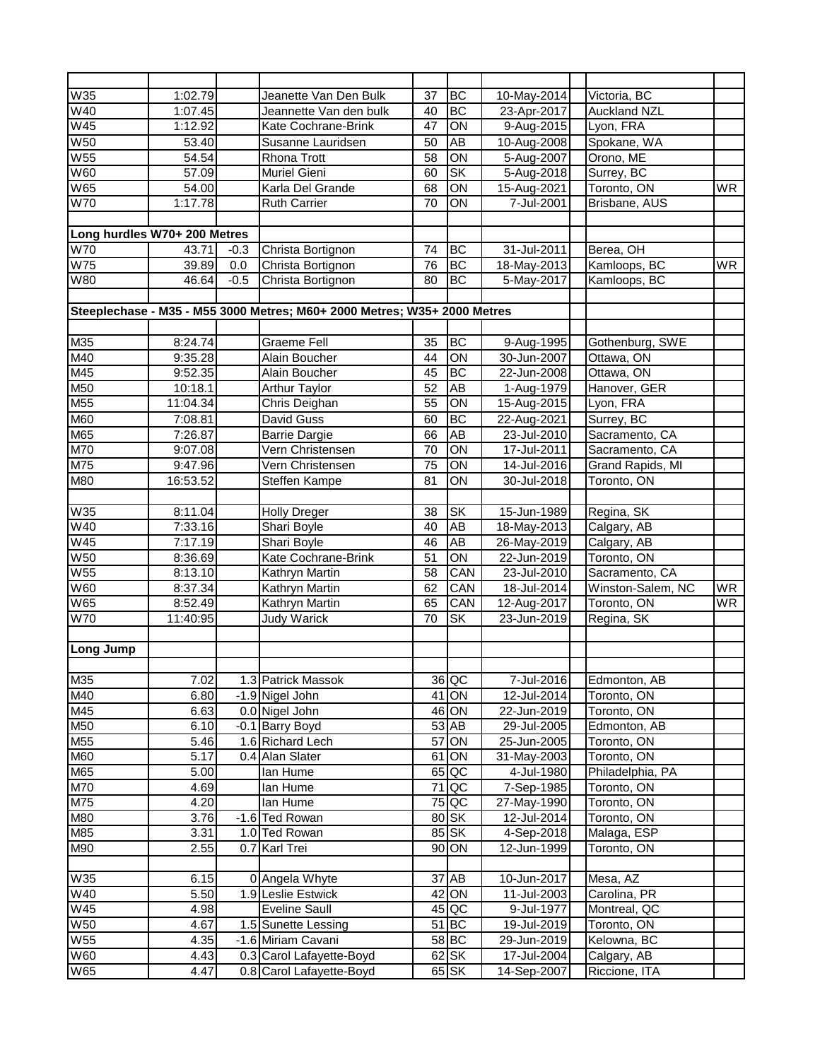| <b>W35</b>                   | 1:02.79  |        | Jeanette Van Den Bulk                                                    | 37 | <b>BC</b>              | 10-May-2014     | Victoria, BC        |                |
|------------------------------|----------|--------|--------------------------------------------------------------------------|----|------------------------|-----------------|---------------------|----------------|
| W40                          | 1:07.45  |        | Jeannette Van den bulk                                                   | 40 | <b>BC</b>              | 23-Apr-2017     | <b>Auckland NZL</b> |                |
| <b>W45</b>                   | 1:12.92  |        | Kate Cochrane-Brink                                                      | 47 | $\overline{ON}$        | 9-Aug-2015      | Lyon, FRA           |                |
| <b>W50</b>                   | 53.40    |        | Susanne Lauridsen                                                        | 50 | AB                     | 10-Aug-2008     | Spokane, WA         |                |
| W55                          | 54.54    |        | Rhona Trott                                                              | 58 | ON                     | 5-Aug-2007      | Orono, ME           |                |
| <b>W60</b>                   | 57.09    |        | Muriel Gieni                                                             | 60 | $\overline{\text{SK}}$ | 5-Aug-2018      | Surrey, BC          |                |
| W65                          | 54.00    |        | Karla Del Grande                                                         | 68 | $\overline{ON}$        | 15-Aug-2021     | Toronto, ON         | <b>WR</b>      |
| <b>W70</b>                   | 1:17.78  |        | <b>Ruth Carrier</b>                                                      | 70 | ON                     | 7-Jul-2001      | Brisbane, AUS       |                |
|                              |          |        |                                                                          |    |                        |                 |                     |                |
| Long hurdles W70+ 200 Metres |          |        |                                                                          |    |                        |                 |                     |                |
| <b>W70</b>                   | 43.71    | $-0.3$ | Christa Bortignon                                                        | 74 | <b>BC</b>              | 31-Jul-2011     | Berea, OH           |                |
| <b>W75</b>                   | 39.89    | 0.0    | Christa Bortignon                                                        | 76 | BC                     | 18-May-2013     | Kamloops, BC        | W <sub>R</sub> |
| W80                          | 46.64    | $-0.5$ | Christa Bortignon                                                        | 80 | <b>BC</b>              | 5-May-2017      | Kamloops, BC        |                |
|                              |          |        |                                                                          |    |                        |                 |                     |                |
|                              |          |        | Steeplechase - M35 - M55 3000 Metres; M60+ 2000 Metres; W35+ 2000 Metres |    |                        |                 |                     |                |
|                              |          |        |                                                                          |    |                        |                 |                     |                |
| M35                          | 8:24.74  |        | <b>Graeme Fell</b>                                                       | 35 | BC                     | 9-Aug-1995      | Gothenburg, SWE     |                |
| M40                          | 9:35.28  |        | Alain Boucher                                                            | 44 | $\overline{ON}$        | 30-Jun-2007     | Ottawa, ON          |                |
| M45                          | 9:52.35  |        | Alain Boucher                                                            | 45 | <b>BC</b>              | 22-Jun-2008     | Ottawa, ON          |                |
| M50                          | 10:18.1  |        | <b>Arthur Taylor</b>                                                     | 52 | AB                     | 1-Aug-1979      | Hanover, GER        |                |
| M55                          | 11:04.34 |        | Chris Deighan                                                            | 55 | ON                     | 15-Aug-2015     | Lyon, FRA           |                |
| M60                          | 7:08.81  |        | David Guss                                                               | 60 | BC                     | 22-Aug-2021     | Surrey, BC          |                |
| M65                          | 7:26.87  |        | <b>Barrie Dargie</b>                                                     | 66 | AB                     | 23-Jul-2010     | Sacramento, CA      |                |
| M70                          | 9:07.08  |        | Vern Christensen                                                         | 70 | ON                     | 17-Jul-2011     | Sacramento, CA      |                |
| M75                          | 9:47.96  |        | Vern Christensen                                                         | 75 | $\overline{ON}$        | 14-Jul-2016     | Grand Rapids, MI    |                |
| M80                          | 16:53.52 |        | Steffen Kampe                                                            | 81 | $\overline{ON}$        | 30-Jul-2018     | Toronto, ON         |                |
|                              |          |        |                                                                          |    |                        |                 |                     |                |
| W35                          | 8:11.04  |        | <b>Holly Dreger</b>                                                      | 38 | <b>SK</b>              | 15-Jun-1989     | Regina, SK          |                |
| W40                          | 7:33.16  |        | Shari Boyle                                                              | 40 | AB                     | 18-May-2013     | Calgary, AB         |                |
| <b>W45</b>                   | 7:17.19  |        | Shari Boyle                                                              | 46 | $\overline{AB}$        | 26-May-2019     | Calgary, AB         |                |
| <b>W50</b>                   | 8:36.69  |        | Kate Cochrane-Brink                                                      | 51 | ON                     | 22-Jun-2019     | Toronto, ON         |                |
| W <sub>55</sub>              | 8:13.10  |        | Kathryn Martin                                                           | 58 | CAN                    | $23 -$ Jul-2010 | Sacramento, CA      |                |
| W60                          | 8:37.34  |        | Kathryn Martin                                                           | 62 | CAN                    | 18-Jul-2014     | Winston-Salem, NC   | WR.            |
| W65                          | 8:52.49  |        | Kathryn Martin                                                           | 65 | CAN                    | 12-Aug-2017     | Toronto, ON         | WR.            |
| <b>W70</b>                   | 11:40:95 |        | <b>Judy Warick</b>                                                       | 70 | <b>SK</b>              | 23-Jun-2019     | Regina, SK          |                |
|                              |          |        |                                                                          |    |                        |                 |                     |                |
| Long Jump                    |          |        |                                                                          |    |                        |                 |                     |                |
|                              |          |        |                                                                          |    |                        |                 |                     |                |
| M35                          | 7.02     |        | 1.3 Patrick Massok                                                       |    | $36$ QC                | 7-Jul-2016      | Edmonton, AB        |                |
| $\overline{\mathsf{M}}$ 40   | 6.80     |        | -1.9 Nigel John                                                          |    | $41$ ON                | 12-Jul-2014     | Toronto, ON         |                |
| M45                          | 6.63     |        | 0.0 Nigel John                                                           |    | 46 ON                  | 22-Jun-2019     | Toronto, ON         |                |
| M50                          | 6.10     |        | -0.1 Barry Boyd                                                          |    | $53$ AB                | 29-Jul-2005     | Edmonton, AB        |                |
| M55                          | 5.46     |        | 1.6 Richard Lech                                                         |    | 57 ON                  | 25-Jun-2005     | Toronto, ON         |                |
| <b>M60</b>                   | 5.17     |        | 0.4 Alan Slater                                                          |    | 61 ON                  | 31-May-2003     | Toronto, ON         |                |
| M65                          | 5.00     |        | lan Hume                                                                 |    | $65$ QC                | 4-Jul-1980      | Philadelphia, PA    |                |
| M70                          | 4.69     |        | lan Hume                                                                 |    | $71$ QC                | 7-Sep-1985      | Toronto, ON         |                |
| M75                          | 4.20     |        | lan Hume                                                                 |    | 75 QC                  | 27-May-1990     | Toronto, ON         |                |
| M80                          | 3.76     |        | -1.6 Ted Rowan                                                           |    | $80$ SK                | 12-Jul-2014     | Toronto, ON         |                |
| M85                          | 3.31     |        | 1.0 Ted Rowan                                                            |    | $85$ SK                | 4-Sep-2018      | Malaga, ESP         |                |
| M90                          | 2.55     |        | $\overline{0.7}$ Karl Trei                                               |    | 90 ON                  | 12-Jun-1999     | Toronto, ON         |                |
|                              |          |        |                                                                          |    |                        |                 |                     |                |
| W35                          | 6.15     |        | 0 Angela Whyte                                                           |    | $37$ AB                | 10-Jun-2017     | Mesa, AZ            |                |
| W40                          | 5.50     |        | 1.9 Leslie Estwick                                                       |    | $42$ ON                | 11-Jul-2003     | Carolina, PR        |                |
| W45                          | 4.98     |        | Eveline Saull                                                            |    | $45$ QC                | 9-Jul-1977      | Montreal, QC        |                |
| W50                          | 4.67     |        | 1.5 Sunette Lessing                                                      |    | $51$ BC                | 19-Jul-2019     | Toronto, ON         |                |
| W55                          | 4.35     |        | -1.6 Miriam Cavani                                                       |    | $58$ BC                | 29-Jun-2019     | Kelowna, BC         |                |
| W60                          | 4.43     |        | 0.3 Carol Lafayette-Boyd                                                 |    | $62$ SK                | 17-Jul-2004     | Calgary, AB         |                |
| W65                          | 4.47     |        | 0.8 Carol Lafayette-Boyd                                                 |    | $65$ SK                | 14-Sep-2007     | Riccione, ITA       |                |
|                              |          |        |                                                                          |    |                        |                 |                     |                |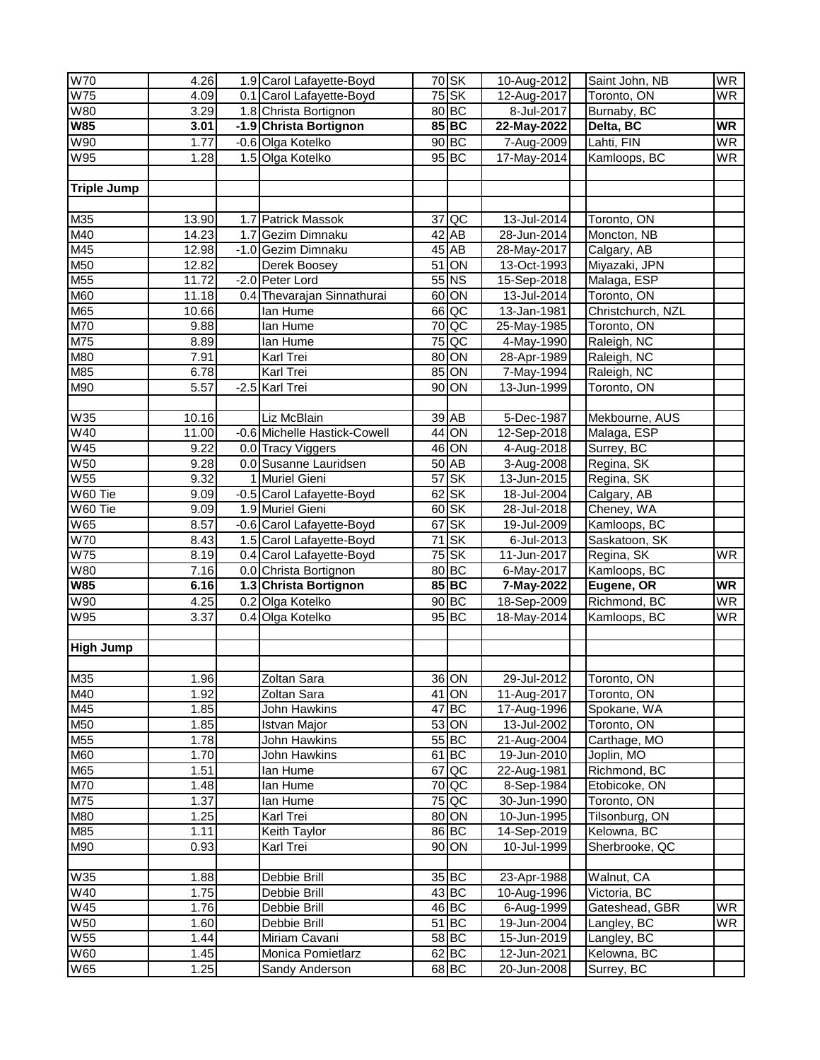| <b>W70</b>               | 4.26         | 1.9 Carol Lafayette-Boyd                              |                 | $70$ SK              | 10-Aug-2012               | Saint John, NB                | <b>WR</b>                |
|--------------------------|--------------|-------------------------------------------------------|-----------------|----------------------|---------------------------|-------------------------------|--------------------------|
| W75                      | 4.09         | 0.1 Carol Lafayette-Boyd                              |                 | $75$ SK              | 12-Aug-2017               | Toronto, ON                   | <b>WR</b>                |
| <b>W80</b>               | 3.29         | 1.8 Christa Bortignon                                 |                 | $80$ BC              | 8-Jul-2017                | Burnaby, BC                   |                          |
| <b>W85</b>               | 3.01         | -1.9 Christa Bortignon                                |                 | 85 BC                | 22-May-2022               | Delta, BC                     | <b>WR</b>                |
| W90                      | 1.77         | -0.6 Olga Kotelko                                     |                 | $90$ BC              | 7-Aug-2009                | Lahti, FIN                    | <b>WR</b>                |
| W95                      | 1.28         | 1.5 Olga Kotelko                                      |                 | $95$ BC              | 17-May-2014               | Kamloops, BC                  | <b>WR</b>                |
| <b>Triple Jump</b>       |              |                                                       |                 |                      |                           |                               |                          |
|                          |              |                                                       |                 |                      |                           |                               |                          |
| M35                      | 13.90        | 1.7 Patrick Massok                                    | 37              | QC                   | 13-Jul-2014               | Toronto, ON                   |                          |
| M40                      | 14.23        | 1.7 Gezim Dimnaku                                     |                 | $42$ AB              | 28-Jun-2014               | Moncton, NB                   |                          |
| M45                      | 12.98        | -1.0 Gezim Dimnaku                                    |                 | $45$ AB              | 28-May-2017               | Calgary, AB                   |                          |
| M50                      | 12.82        | Derek Boosey                                          | 51              | S                    | 13-Oct-1993               | Miyazaki, JPN                 |                          |
| M55                      | 11.72        | -2.0 Peter Lord                                       |                 | $55$ NS              | 15-Sep-2018               | Malaga, ESP                   |                          |
| M60                      | 11.18        | 0.4 Thevarajan Sinnathurai                            | 60              | ON                   | 13-Jul-2014               | Toronto, ON                   |                          |
| M65                      | 10.66        | lan Hume                                              |                 | $66$ QC              | 13-Jan-1981               | Christchurch, NZL             |                          |
| M70                      | 9.88         | lan Hume                                              | $\overline{70}$ | <b>QC</b>            | 25-May-1985               | Toronto, ON                   |                          |
| M75                      | 8.89         | lan Hume                                              | $\overline{75}$ | QC                   | 4-May-1990                | Raleigh, NC                   |                          |
| M80                      | 7.91         | Karl Trei                                             | 80              | ON                   | 28-Apr-1989               | Raleigh, NC                   |                          |
| M85                      | 6.78         | Karl Trei                                             | 85              | ON                   | 7-May-1994                | Raleigh, NC                   |                          |
| M90                      | 5.57         | $-2.5$ Karl Trei                                      | 90              | ON                   | 13-Jun-1999               | Toronto, ON                   |                          |
|                          |              |                                                       |                 |                      |                           |                               |                          |
| <b>W35</b><br>W40        | 10.16        | Liz McBlain<br>-0.6 Michelle Hastick-Cowell           |                 | 39 AB                | 5-Dec-1987                | Mekbourne, AUS                |                          |
| <b>W45</b>               | 11.00        |                                                       |                 | 44 ON                | 12-Sep-2018               | Malaga, ESP                   |                          |
|                          | 9.22         | 0.0 Tracy Viggers                                     |                 | 46 ON                | 4-Aug-2018                | Surrey, BC                    |                          |
| <b>W50</b>               | 9.28         | 0.0 Susanne Lauridsen                                 |                 | $50$ AB              | 3-Aug-2008                | Regina, SK                    |                          |
| <b>W55</b><br>W60 Tie    | 9.32         | 1 Muriel Gieni                                        | $\overline{57}$ | <b>SK</b>            | 13-Jun-2015               | Regina, SK                    |                          |
| W60 Tie                  | 9.09         | -0.5 Carol Lafayette-Boyd                             | 62              | <b>SK</b>            | 18-Jul-2004               | Calgary, AB                   |                          |
| W65                      | 9.09<br>8.57 | 1.9 Muriel Gieni                                      | 67              | $60$ SK<br><b>SK</b> | 28-Jul-2018               | Cheney, WA                    |                          |
| <b>W70</b>               | 8.43         | -0.6 Carol Lafayette-Boyd<br>1.5 Carol Lafayette-Boyd | $\overline{71}$ | <b>SK</b>            | 19-Jul-2009               | Kamloops, BC<br>Saskatoon, SK |                          |
| <b>W75</b>               | 8.19         | 0.4 Carol Lafayette-Boyd                              | $\overline{75}$ | <b>SK</b>            | 6-Jul-2013<br>11-Jun-2017 | Regina, SK                    | <b>WR</b>                |
| W80                      | 7.16         | 0.0 Christa Bortignon                                 |                 | $80$ BC              | 6-May-2017                | Kamloops, BC                  |                          |
| <b>W85</b>               | 6.16         | 1.3 Christa Bortignon                                 |                 | $85$ BC              | 7-May-2022                | Eugene, OR                    | <b>WR</b>                |
| W90                      | 4.25         | 0.2 Olga Kotelko                                      |                 | $90$ BC              | 18-Sep-2009               | Richmond, BC                  | <b>WR</b>                |
| <b>W95</b>               | 3.37         | 0.4 Olga Kotelko                                      |                 | $95$ BC              | 18-May-2014               | Kamloops, BC                  | $\overline{\mathsf{WR}}$ |
|                          |              |                                                       |                 |                      |                           |                               |                          |
| <b>High Jump</b>         |              |                                                       |                 |                      |                           |                               |                          |
| M35                      | 1.96         | Zoltan Sara                                           |                 | 36 ON                | 29-Jul-2012               | Toronto, ON                   |                          |
| M40                      | 1.92         | Zoltan Sara                                           |                 | $41$ ON              | 11-Aug-2017               | Toronto, ON                   |                          |
| M45                      | 1.85         | John Hawkins                                          |                 | $47$ BC              | 17-Aug-1996               | Spokane, WA                   |                          |
| M50                      | 1.85         | Istvan Major                                          |                 | 53 ON                | 13-Jul-2002               | Toronto, ON                   |                          |
| M55                      | 1.78         | John Hawkins                                          |                 | $55$ BC              | 21-Aug-2004               | Carthage, MO                  |                          |
| M60                      | 1.70         | John Hawkins                                          |                 | $61$ BC              | 19-Jun-2010               | Joplin, MO                    |                          |
| M65                      | 1.51         | lan Hume                                              |                 | 67 QC                | 22-Aug-1981               | Richmond, BC                  |                          |
| M70                      | 1.48         | lan Hume                                              |                 | $70$ QC              | 8-Sep-1984                | Etobicoke, ON                 |                          |
| $\overline{\text{M7}}$ 5 | 1.37         | lan Hume                                              |                 | $75$ QC              | 30-Jun-1990               | Toronto, ON                   |                          |
| M80                      | 1.25         | Karl Trei                                             |                 | 80 ON                | 10-Jun-1995               | Tilsonburg, ON                |                          |
| M85                      | 1.11         | Keith Taylor                                          |                 | 86 BC                | 14-Sep-2019               | Kelowna, BC                   |                          |
| M90                      | 0.93         | Karl Trei                                             |                 | 90 ON                | 10-Jul-1999               | Sherbrooke, QC                |                          |
| W35                      | 1.88         | Debbie Brill                                          |                 | $35$ $BC$            | 23-Apr-1988               | Walnut, CA                    |                          |
| W40                      | 1.75         | Debbie Brill                                          |                 | $43$ BC              | 10-Aug-1996               | Victoria, BC                  |                          |
| W45                      | 1.76         | Debbie Brill                                          |                 | $46$ BC              | 6-Aug-1999                | Gateshead, GBR                | <b>WR</b>                |
| <b>W50</b>               | 1.60         | Debbie Brill                                          |                 | $51$ BC              | 19-Jun-2004               | Langley, BC                   | <b>WR</b>                |
| <b>W55</b>               | 1.44         | Miriam Cavani                                         |                 | $58$ BC              | 15-Jun-2019               | Langley, BC                   |                          |
| W60                      | 1.45         | Monica Pomietlarz                                     |                 | $62$ BC              | 12-Jun-2021               | Kelowna, BC                   |                          |
|                          |              |                                                       |                 |                      |                           |                               |                          |